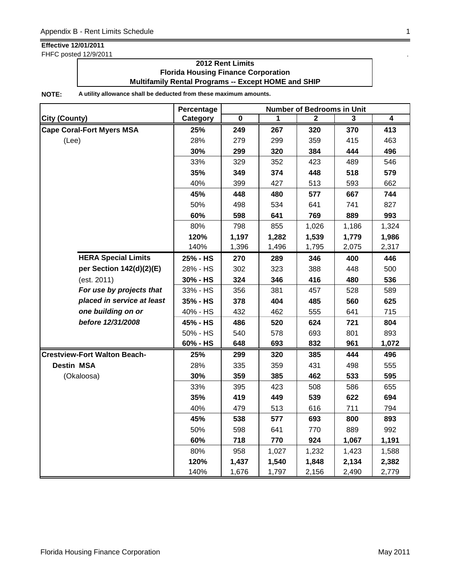FHFC posted 12/9/2011 .

### **2012 Rent Limits Florida Housing Finance Corporation Multifamily Rental Programs -- Except HOME and SHIP**

|                                     | Percentage | <b>Number of Bedrooms in Unit</b> |       |       |              |                         |  |
|-------------------------------------|------------|-----------------------------------|-------|-------|--------------|-------------------------|--|
| <b>City (County)</b>                | Category   | $\mathbf 0$                       | 1     | 2     | $\mathbf{3}$ | $\overline{\mathbf{4}}$ |  |
| <b>Cape Coral-Fort Myers MSA</b>    | 25%        | 249                               | 267   | 320   | 370          | 413                     |  |
| (Lee)                               | 28%        | 279                               | 299   | 359   | 415          | 463                     |  |
|                                     | 30%        | 299                               | 320   | 384   | 444          | 496                     |  |
|                                     | 33%        | 329                               | 352   | 423   | 489          | 546                     |  |
|                                     | 35%        | 349                               | 374   | 448   | 518          | 579                     |  |
|                                     | 40%        | 399                               | 427   | 513   | 593          | 662                     |  |
|                                     | 45%        | 448                               | 480   | 577   | 667          | 744                     |  |
|                                     | 50%        | 498                               | 534   | 641   | 741          | 827                     |  |
|                                     | 60%        | 598                               | 641   | 769   | 889          | 993                     |  |
|                                     | 80%        | 798                               | 855   | 1,026 | 1,186        | 1,324                   |  |
|                                     | 120%       | 1,197                             | 1,282 | 1,539 | 1,779        | 1,986                   |  |
|                                     | 140%       | 1,396                             | 1,496 | 1,795 | 2,075        | 2,317                   |  |
| <b>HERA Special Limits</b>          | 25% - HS   | 270                               | 289   | 346   | 400          | 446                     |  |
| per Section 142(d)(2)(E)            | 28% - HS   | 302                               | 323   | 388   | 448          | 500                     |  |
| (est. 2011)                         | 30% - HS   | 324                               | 346   | 416   | 480          | 536                     |  |
| For use by projects that            | 33% - HS   | 356                               | 381   | 457   | 528          | 589                     |  |
| placed in service at least          | 35% - HS   | 378                               | 404   | 485   | 560          | 625                     |  |
| one building on or                  | 40% - HS   | 432                               | 462   | 555   | 641          | 715                     |  |
| before 12/31/2008                   | 45% - HS   | 486                               | 520   | 624   | 721          | 804                     |  |
|                                     | 50% - HS   | 540                               | 578   | 693   | 801          | 893                     |  |
|                                     | 60% - HS   | 648                               | 693   | 832   | 961          | 1,072                   |  |
| <b>Crestview-Fort Walton Beach-</b> | 25%        | 299                               | 320   | 385   | 444          | 496                     |  |
| <b>Destin MSA</b>                   | 28%        | 335                               | 359   | 431   | 498          | 555                     |  |
| (Okaloosa)                          | 30%        | 359                               | 385   | 462   | 533          | 595                     |  |
|                                     | 33%        | 395                               | 423   | 508   | 586          | 655                     |  |
|                                     | 35%        | 419                               | 449   | 539   | 622          | 694                     |  |
|                                     | 40%        | 479                               | 513   | 616   | 711          | 794                     |  |
|                                     | 45%        | 538                               | 577   | 693   | 800          | 893                     |  |
|                                     | 50%        | 598                               | 641   | 770   | 889          | 992                     |  |
|                                     | 60%        | 718                               | 770   | 924   | 1,067        | 1,191                   |  |
|                                     | 80%        | 958                               | 1,027 | 1,232 | 1,423        | 1,588                   |  |
|                                     | 120%       | 1,437                             | 1,540 | 1,848 | 2,134        | 2,382                   |  |
|                                     | 140%       | 1,676                             | 1,797 | 2,156 | 2,490        | 2,779                   |  |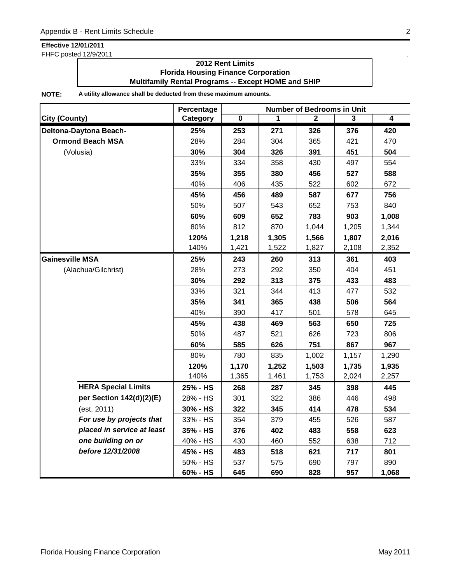FHFC posted 12/9/2011 .

### **2012 Rent Limits Florida Housing Finance Corporation Multifamily Rental Programs -- Except HOME and SHIP**

|                            | Percentage | <b>Number of Bedrooms in Unit</b> |       |              |       |                |  |
|----------------------------|------------|-----------------------------------|-------|--------------|-------|----------------|--|
| <b>City (County)</b>       | Category   | $\overline{\mathbf{0}}$           | 1     | $\mathbf{2}$ | 3     | $\overline{4}$ |  |
| Deltona-Daytona Beach-     | 25%        | 253                               | 271   | 326          | 376   | 420            |  |
| <b>Ormond Beach MSA</b>    | 28%        | 284                               | 304   | 365          | 421   | 470            |  |
| (Volusia)                  | 30%        | 304                               | 326   | 391          | 451   | 504            |  |
|                            | 33%        | 334                               | 358   | 430          | 497   | 554            |  |
|                            | 35%        | 355                               | 380   | 456          | 527   | 588            |  |
|                            | 40%        | 406                               | 435   | 522          | 602   | 672            |  |
|                            | 45%        | 456                               | 489   | 587          | 677   | 756            |  |
|                            | 50%        | 507                               | 543   | 652          | 753   | 840            |  |
|                            | 60%        | 609                               | 652   | 783          | 903   | 1,008          |  |
|                            | 80%        | 812                               | 870   | 1,044        | 1,205 | 1,344          |  |
|                            | 120%       | 1,218                             | 1,305 | 1,566        | 1,807 | 2,016          |  |
|                            | 140%       | 1,421                             | 1,522 | 1,827        | 2,108 | 2,352          |  |
| <b>Gainesville MSA</b>     | 25%        | 243                               | 260   | 313          | 361   | 403            |  |
| (Alachua/Gilchrist)        | 28%        | 273                               | 292   | 350          | 404   | 451            |  |
|                            | 30%        | 292                               | 313   | 375          | 433   | 483            |  |
|                            | 33%        | 321                               | 344   | 413          | 477   | 532            |  |
|                            | 35%        | 341                               | 365   | 438          | 506   | 564            |  |
|                            | 40%        | 390                               | 417   | 501          | 578   | 645            |  |
|                            | 45%        | 438                               | 469   | 563          | 650   | 725            |  |
|                            | 50%        | 487                               | 521   | 626          | 723   | 806            |  |
|                            | 60%        | 585                               | 626   | 751          | 867   | 967            |  |
|                            | 80%        | 780                               | 835   | 1,002        | 1,157 | 1,290          |  |
|                            | 120%       | 1,170                             | 1,252 | 1,503        | 1,735 | 1,935          |  |
|                            | 140%       | 1,365                             | 1,461 | 1,753        | 2,024 | 2,257          |  |
| <b>HERA Special Limits</b> | 25% - HS   | 268                               | 287   | 345          | 398   | 445            |  |
| per Section 142(d)(2)(E)   | 28% - HS   | 301                               | 322   | 386          | 446   | 498            |  |
| (est. 2011)                | 30% - HS   | 322                               | 345   | 414          | 478   | 534            |  |
| For use by projects that   | 33% - HS   | 354                               | 379   | 455          | 526   | 587            |  |
| placed in service at least | 35% - HS   | 376                               | 402   | 483          | 558   | 623            |  |
| one building on or         | 40% - HS   | 430                               | 460   | 552          | 638   | 712            |  |
| before 12/31/2008          | 45% - HS   | 483                               | 518   | 621          | 717   | 801            |  |
|                            | 50% - HS   | 537                               | 575   | 690          | 797   | 890            |  |
|                            | 60% - HS   | 645                               | 690   | 828          | 957   | 1,068          |  |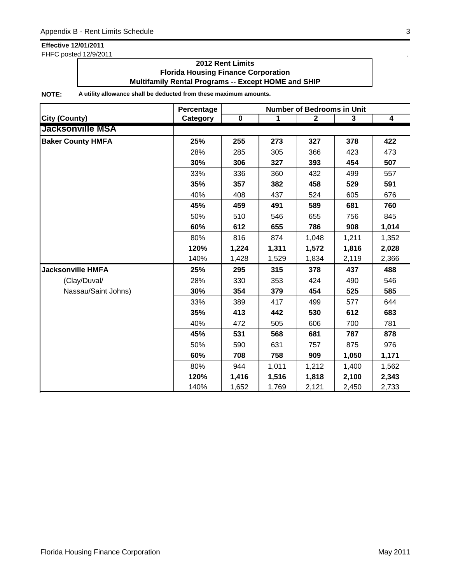FHFC posted 12/9/2011 .

### **2012 Rent Limits Florida Housing Finance Corporation Multifamily Rental Programs -- Except HOME and SHIP**

|                          | Percentage | <b>Number of Bedrooms in Unit</b> |       |              |       |                  |  |
|--------------------------|------------|-----------------------------------|-------|--------------|-------|------------------|--|
| <b>City (County)</b>     | Category   | $\pmb{0}$                         | 1     | $\mathbf{2}$ | 3     | $\boldsymbol{4}$ |  |
| <b>Jacksonville MSA</b>  |            |                                   |       |              |       |                  |  |
| <b>Baker County HMFA</b> | 25%        | 255                               | 273   | 327          | 378   | 422              |  |
|                          | 28%        | 285                               | 305   | 366          | 423   | 473              |  |
|                          | 30%        | 306                               | 327   | 393          | 454   | 507              |  |
|                          | 33%        | 336                               | 360   | 432          | 499   | 557              |  |
|                          | 35%        | 357                               | 382   | 458          | 529   | 591              |  |
|                          | 40%        | 408                               | 437   | 524          | 605   | 676              |  |
|                          | 45%        | 459                               | 491   | 589          | 681   | 760              |  |
|                          | 50%        | 510                               | 546   | 655          | 756   | 845              |  |
|                          | 60%        | 612                               | 655   | 786          | 908   | 1,014            |  |
|                          | 80%        | 816                               | 874   | 1,048        | 1,211 | 1,352            |  |
|                          | 120%       | 1,224                             | 1,311 | 1,572        | 1,816 | 2,028            |  |
|                          | 140%       | 1,428                             | 1,529 | 1,834        | 2,119 | 2,366            |  |
| <b>Jacksonville HMFA</b> | 25%        | 295                               | 315   | 378          | 437   | 488              |  |
| (Clay/Duval/             | 28%        | 330                               | 353   | 424          | 490   | 546              |  |
| Nassau/Saint Johns)      | 30%        | 354                               | 379   | 454          | 525   | 585              |  |
|                          | 33%        | 389                               | 417   | 499          | 577   | 644              |  |
|                          | 35%        | 413                               | 442   | 530          | 612   | 683              |  |
|                          | 40%        | 472                               | 505   | 606          | 700   | 781              |  |
|                          | 45%        | 531                               | 568   | 681          | 787   | 878              |  |
|                          | 50%        | 590                               | 631   | 757          | 875   | 976              |  |
|                          | 60%        | 708                               | 758   | 909          | 1,050 | 1,171            |  |
|                          | 80%        | 944                               | 1,011 | 1,212        | 1,400 | 1,562            |  |
|                          | 120%       | 1,416                             | 1,516 | 1,818        | 2,100 | 2,343            |  |
|                          | 140%       | 1,652                             | 1,769 | 2,121        | 2,450 | 2,733            |  |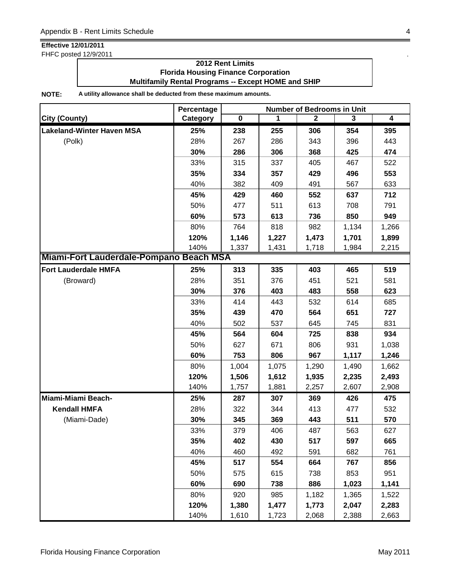FHFC posted 12/9/2011 .

### **2012 Rent Limits Florida Housing Finance Corporation Multifamily Rental Programs -- Except HOME and SHIP**

|                                         | Percentage | <b>Number of Bedrooms in Unit</b> |       |              |       |       |  |
|-----------------------------------------|------------|-----------------------------------|-------|--------------|-------|-------|--|
| <b>City (County)</b>                    | Category   | $\mathbf 0$                       | 1     | $\mathbf{2}$ | 3     | 4     |  |
| <b>Lakeland-Winter Haven MSA</b>        | 25%        | 238                               | 255   | 306          | 354   | 395   |  |
| (Polk)                                  | 28%        | 267                               | 286   | 343          | 396   | 443   |  |
|                                         | 30%        | 286                               | 306   | 368          | 425   | 474   |  |
|                                         | 33%        | 315                               | 337   | 405          | 467   | 522   |  |
|                                         | 35%        | 334                               | 357   | 429          | 496   | 553   |  |
|                                         | 40%        | 382                               | 409   | 491          | 567   | 633   |  |
|                                         | 45%        | 429                               | 460   | 552          | 637   | 712   |  |
|                                         | 50%        | 477                               | 511   | 613          | 708   | 791   |  |
|                                         | 60%        | 573                               | 613   | 736          | 850   | 949   |  |
|                                         | 80%        | 764                               | 818   | 982          | 1,134 | 1,266 |  |
|                                         | 120%       | 1,146                             | 1,227 | 1,473        | 1,701 | 1,899 |  |
|                                         | 140%       | 1,337                             | 1,431 | 1,718        | 1,984 | 2,215 |  |
| Miami-Fort Lauderdale-Pompano Beach MSA |            |                                   |       |              |       |       |  |
| <b>Fort Lauderdale HMFA</b>             | 25%        | 313                               | 335   | 403          | 465   | 519   |  |
| (Broward)                               | 28%        | 351                               | 376   | 451          | 521   | 581   |  |
|                                         | 30%        | 376                               | 403   | 483          | 558   | 623   |  |
|                                         | 33%        | 414                               | 443   | 532          | 614   | 685   |  |
|                                         | 35%        | 439                               | 470   | 564          | 651   | 727   |  |
|                                         | 40%        | 502                               | 537   | 645          | 745   | 831   |  |
|                                         | 45%        | 564                               | 604   | 725          | 838   | 934   |  |
|                                         | 50%        | 627                               | 671   | 806          | 931   | 1,038 |  |
|                                         | 60%        | 753                               | 806   | 967          | 1,117 | 1,246 |  |
|                                         | 80%        | 1,004                             | 1,075 | 1,290        | 1,490 | 1,662 |  |
|                                         | 120%       | 1,506                             | 1,612 | 1,935        | 2,235 | 2,493 |  |
|                                         | 140%       | 1,757                             | 1,881 | 2,257        | 2,607 | 2,908 |  |
| Miami-Miami Beach-                      | 25%        | 287                               | 307   | 369          | 426   | 475   |  |
| <b>Kendall HMFA</b>                     | 28%        | 322                               | 344   | 413          | 477   | 532   |  |
| (Miami-Dade)                            | 30%        | 345                               | 369   | 443          | 511   | 570   |  |
|                                         | 33%        | 379                               | 406   | 487          | 563   | 627   |  |
|                                         | 35%        | 402                               | 430   | 517          | 597   | 665   |  |
|                                         | 40%        | 460                               | 492   | 591          | 682   | 761   |  |
|                                         | 45%        | 517                               | 554   | 664          | 767   | 856   |  |
|                                         | 50%        | 575                               | 615   | 738          | 853   | 951   |  |
|                                         | 60%        | 690                               | 738   | 886          | 1,023 | 1,141 |  |
|                                         | 80%        | 920                               | 985   | 1,182        | 1,365 | 1,522 |  |
|                                         | 120%       | 1,380                             | 1,477 | 1,773        | 2,047 | 2,283 |  |
|                                         | 140%       | 1,610                             | 1,723 | 2,068        | 2,388 | 2,663 |  |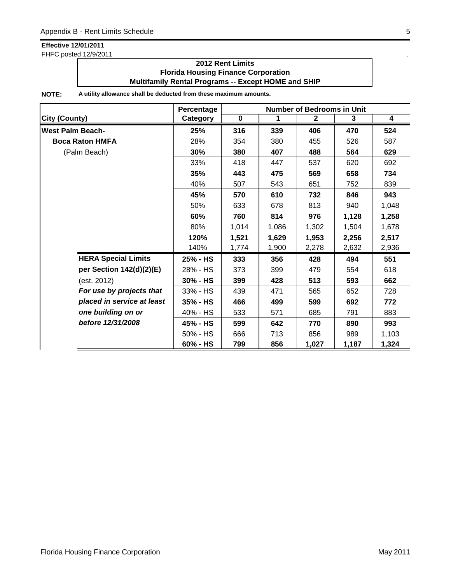FHFC posted 12/9/2011 .

### **2012 Rent Limits Florida Housing Finance Corporation Multifamily Rental Programs -- Except HOME and SHIP**

|                            | Percentage | <b>Number of Bedrooms in Unit</b> |       |              |       |       |  |
|----------------------------|------------|-----------------------------------|-------|--------------|-------|-------|--|
| <b>City (County)</b>       | Category   | $\mathbf 0$                       | 1     | $\mathbf{2}$ | 3     | 4     |  |
| <b>West Palm Beach-</b>    | 25%        | 316                               | 339   | 406          | 470   | 524   |  |
| <b>Boca Raton HMFA</b>     | 28%        | 354                               | 380   | 455          | 526   | 587   |  |
| (Palm Beach)               | 30%        | 380                               | 407   | 488          | 564   | 629   |  |
|                            | 33%        | 418                               | 447   | 537          | 620   | 692   |  |
|                            | 35%        | 443                               | 475   | 569          | 658   | 734   |  |
|                            | 40%        | 507                               | 543   | 651          | 752   | 839   |  |
|                            | 45%        | 570                               | 610   | 732          | 846   | 943   |  |
|                            | 50%        | 633                               | 678   | 813          | 940   | 1,048 |  |
|                            | 60%        | 760                               | 814   | 976          | 1,128 | 1,258 |  |
|                            | 80%        | 1,014                             | 1,086 | 1,302        | 1,504 | 1,678 |  |
|                            | 120%       | 1,521                             | 1,629 | 1,953        | 2,256 | 2,517 |  |
|                            | 140%       | 1,774                             | 1,900 | 2,278        | 2,632 | 2,936 |  |
| <b>HERA Special Limits</b> | 25% - HS   | 333                               | 356   | 428          | 494   | 551   |  |
| per Section 142(d)(2)(E)   | 28% - HS   | 373                               | 399   | 479          | 554   | 618   |  |
| (est. 2012)                | 30% - HS   | 399                               | 428   | 513          | 593   | 662   |  |
| For use by projects that   | 33% - HS   | 439                               | 471   | 565          | 652   | 728   |  |
| placed in service at least | 35% - HS   | 466                               | 499   | 599          | 692   | 772   |  |
| one building on or         | 40% - HS   | 533                               | 571   | 685          | 791   | 883   |  |
| before 12/31/2008          | 45% - HS   | 599                               | 642   | 770          | 890   | 993   |  |
|                            | 50% - HS   | 666                               | 713   | 856          | 989   | 1,103 |  |
|                            | 60% - HS   | 799                               | 856   | 1,027        | 1,187 | 1,324 |  |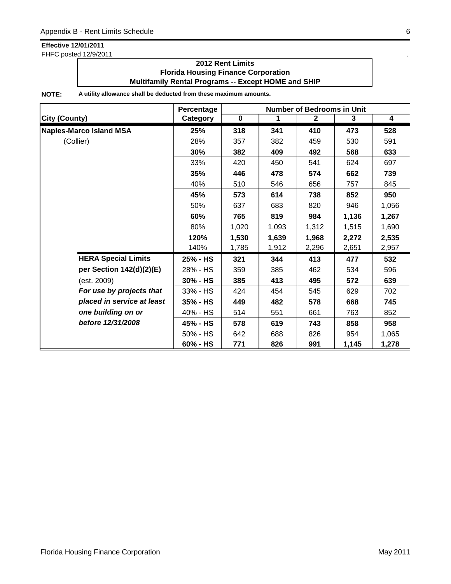FHFC posted 12/9/2011 .

### **2012 Rent Limits Florida Housing Finance Corporation Multifamily Rental Programs -- Except HOME and SHIP**

|                                | Percentage |           |       | <b>Number of Bedrooms in Unit</b> |       |                         |
|--------------------------------|------------|-----------|-------|-----------------------------------|-------|-------------------------|
| <b>City (County)</b>           | Category   | $\pmb{0}$ | 1     | $\mathbf{2}$                      | 3     | $\overline{\mathbf{4}}$ |
| <b>Naples-Marco Island MSA</b> | 25%        | 318       | 341   | 410                               | 473   | 528                     |
| (Collier)                      | 28%        | 357       | 382   | 459                               | 530   | 591                     |
|                                | 30%        | 382       | 409   | 492                               | 568   | 633                     |
|                                | 33%        | 420       | 450   | 541                               | 624   | 697                     |
|                                | 35%        | 446       | 478   | 574                               | 662   | 739                     |
|                                | 40%        | 510       | 546   | 656                               | 757   | 845                     |
|                                | 45%        | 573       | 614   | 738                               | 852   | 950                     |
|                                | 50%        | 637       | 683   | 820                               | 946   | 1,056                   |
|                                | 60%        | 765       | 819   | 984                               | 1,136 | 1,267                   |
|                                | 80%        | 1,020     | 1,093 | 1,312                             | 1,515 | 1,690                   |
|                                | 120%       | 1,530     | 1,639 | 1,968                             | 2,272 | 2,535                   |
|                                | 140%       | 1,785     | 1,912 | 2,296                             | 2,651 | 2,957                   |
| <b>HERA Special Limits</b>     | 25% - HS   | 321       | 344   | 413                               | 477   | 532                     |
| per Section 142(d)(2)(E)       | 28% - HS   | 359       | 385   | 462                               | 534   | 596                     |
| (est. 2009)                    | 30% - HS   | 385       | 413   | 495                               | 572   | 639                     |
| For use by projects that       | 33% - HS   | 424       | 454   | 545                               | 629   | 702                     |
| placed in service at least     | 35% - HS   | 449       | 482   | 578                               | 668   | 745                     |
| one building on or             | 40% - HS   | 514       | 551   | 661                               | 763   | 852                     |
| before 12/31/2008              | 45% - HS   | 578       | 619   | 743                               | 858   | 958                     |
|                                | 50% - HS   | 642       | 688   | 826                               | 954   | 1,065                   |
|                                | 60% - HS   | 771       | 826   | 991                               | 1,145 | 1,278                   |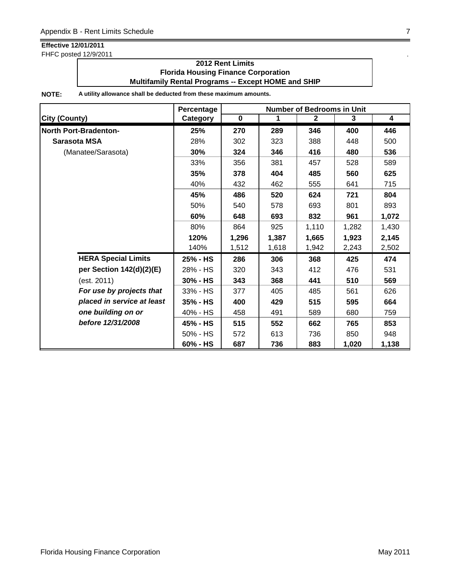FHFC posted 12/9/2011 .

### **2012 Rent Limits Florida Housing Finance Corporation Multifamily Rental Programs -- Except HOME and SHIP**

|                              |          | <b>Number of Bedrooms in Unit</b> |       |              |       |                         |  |
|------------------------------|----------|-----------------------------------|-------|--------------|-------|-------------------------|--|
| <b>City (County)</b>         | Category | $\mathbf 0$                       | 1     | $\mathbf{2}$ | 3     | $\overline{\mathbf{4}}$ |  |
| <b>North Port-Bradenton-</b> | 25%      | 270                               | 289   | 346          | 400   | 446                     |  |
| Sarasota MSA                 | 28%      | 302                               | 323   | 388          | 448   | 500                     |  |
| (Manatee/Sarasota)           | 30%      | 324                               | 346   | 416          | 480   | 536                     |  |
|                              | 33%      | 356                               | 381   | 457          | 528   | 589                     |  |
|                              | 35%      | 378                               | 404   | 485          | 560   | 625                     |  |
|                              | 40%      | 432                               | 462   | 555          | 641   | 715                     |  |
|                              | 45%      | 486                               | 520   | 624          | 721   | 804                     |  |
|                              | 50%      | 540                               | 578   | 693          | 801   | 893                     |  |
|                              | 60%      | 648                               | 693   | 832          | 961   | 1,072                   |  |
|                              | 80%      | 864                               | 925   | 1,110        | 1,282 | 1,430                   |  |
|                              | 120%     | 1,296                             | 1,387 | 1,665        | 1,923 | 2,145                   |  |
|                              | 140%     | 1,512                             | 1,618 | 1,942        | 2,243 | 2,502                   |  |
| <b>HERA Special Limits</b>   | 25% - HS | 286                               | 306   | 368          | 425   | 474                     |  |
| per Section 142(d)(2)(E)     | 28% - HS | 320                               | 343   | 412          | 476   | 531                     |  |
| (est. 2011)                  | 30% - HS | 343                               | 368   | 441          | 510   | 569                     |  |
| For use by projects that     | 33% - HS | 377                               | 405   | 485          | 561   | 626                     |  |
| placed in service at least   | 35% - HS | 400                               | 429   | 515          | 595   | 664                     |  |
| one building on or           | 40% - HS | 458                               | 491   | 589          | 680   | 759                     |  |
| before 12/31/2008            | 45% - HS | 515                               | 552   | 662          | 765   | 853                     |  |
|                              | 50% - HS | 572                               | 613   | 736          | 850   | 948                     |  |
|                              | 60% - HS | 687                               | 736   | 883          | 1,020 | 1,138                   |  |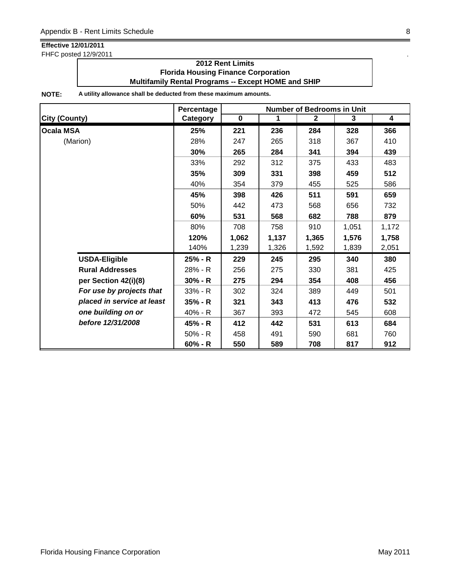FHFC posted 12/9/2011 .

### **2012 Rent Limits Florida Housing Finance Corporation Multifamily Rental Programs -- Except HOME and SHIP**

|                            | Percentage |             |       | <b>Number of Bedrooms in Unit</b> |       |                         |
|----------------------------|------------|-------------|-------|-----------------------------------|-------|-------------------------|
| <b>City (County)</b>       | Category   | $\mathbf 0$ | 1     | $\mathbf{2}$                      | 3     | $\overline{\mathbf{4}}$ |
| <b>Ocala MSA</b>           | 25%        | 221         | 236   | 284                               | 328   | 366                     |
| (Marion)                   | 28%        | 247         | 265   | 318                               | 367   | 410                     |
|                            | 30%        | 265         | 284   | 341                               | 394   | 439                     |
|                            | 33%        | 292         | 312   | 375                               | 433   | 483                     |
|                            | 35%        | 309         | 331   | 398                               | 459   | 512                     |
|                            | 40%        | 354         | 379   | 455                               | 525   | 586                     |
|                            | 45%        | 398         | 426   | 511                               | 591   | 659                     |
|                            | 50%        | 442         | 473   | 568                               | 656   | 732                     |
|                            | 60%        | 531         | 568   | 682                               | 788   | 879                     |
|                            | 80%        | 708         | 758   | 910                               | 1,051 | 1,172                   |
|                            | 120%       | 1,062       | 1,137 | 1,365                             | 1,576 | 1,758                   |
|                            | 140%       | 1,239       | 1,326 | 1,592                             | 1,839 | 2,051                   |
| <b>USDA-Eligible</b>       | 25% - R    | 229         | 245   | 295                               | 340   | 380                     |
| <b>Rural Addresses</b>     | 28% - R    | 256         | 275   | 330                               | 381   | 425                     |
| per Section 42(i)(8)       | $30% - R$  | 275         | 294   | 354                               | 408   | 456                     |
| For use by projects that   | $33% - R$  | 302         | 324   | 389                               | 449   | 501                     |
| placed in service at least | $35% - R$  | 321         | 343   | 413                               | 476   | 532                     |
| one building on or         | 40% - R    | 367         | 393   | 472                               | 545   | 608                     |
| before 12/31/2008          | 45% - R    | 412         | 442   | 531                               | 613   | 684                     |
|                            | $50% - R$  | 458         | 491   | 590                               | 681   | 760                     |
|                            | $60% - R$  | 550         | 589   | 708                               | 817   | 912                     |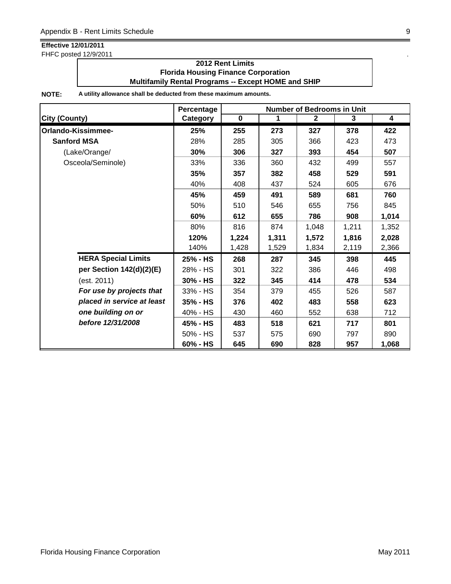FHFC posted 12/9/2011 .

### **2012 Rent Limits Florida Housing Finance Corporation Multifamily Rental Programs -- Except HOME and SHIP**

|                            | Percentage<br><b>Number of Bedrooms in Unit</b> |             |       |              |       |                         |
|----------------------------|-------------------------------------------------|-------------|-------|--------------|-------|-------------------------|
| <b>City (County)</b>       | <b>Category</b>                                 | $\mathbf 0$ | 1     | $\mathbf{2}$ | 3     | $\overline{\mathbf{4}}$ |
| Orlando-Kissimmee-         | 25%                                             | 255         | 273   | 327          | 378   | 422                     |
| <b>Sanford MSA</b>         | 28%                                             | 285         | 305   | 366          | 423   | 473                     |
| (Lake/Orange/              | 30%                                             | 306         | 327   | 393          | 454   | 507                     |
| Osceola/Seminole)          | 33%                                             | 336         | 360   | 432          | 499   | 557                     |
|                            | 35%                                             | 357         | 382   | 458          | 529   | 591                     |
|                            | 40%                                             | 408         | 437   | 524          | 605   | 676                     |
|                            | 45%                                             | 459         | 491   | 589          | 681   | 760                     |
|                            | 50%                                             | 510         | 546   | 655          | 756   | 845                     |
|                            | 60%                                             | 612         | 655   | 786          | 908   | 1,014                   |
|                            | 80%                                             | 816         | 874   | 1,048        | 1,211 | 1,352                   |
|                            | 120%                                            | 1,224       | 1,311 | 1,572        | 1,816 | 2,028                   |
|                            | 140%                                            | 1,428       | 1,529 | 1,834        | 2,119 | 2,366                   |
| <b>HERA Special Limits</b> | 25% - HS                                        | 268         | 287   | 345          | 398   | 445                     |
| per Section 142(d)(2)(E)   | 28% - HS                                        | 301         | 322   | 386          | 446   | 498                     |
| (est. 2011)                | 30% - HS                                        | 322         | 345   | 414          | 478   | 534                     |
| For use by projects that   | 33% - HS                                        | 354         | 379   | 455          | 526   | 587                     |
| placed in service at least | 35% - HS                                        | 376         | 402   | 483          | 558   | 623                     |
| one building on or         | 40% - HS                                        | 430         | 460   | 552          | 638   | 712                     |
| before 12/31/2008          | 45% - HS                                        | 483         | 518   | 621          | 717   | 801                     |
|                            | 50% - HS                                        | 537         | 575   | 690          | 797   | 890                     |
|                            | 60% - HS                                        | 645         | 690   | 828          | 957   | 1,068                   |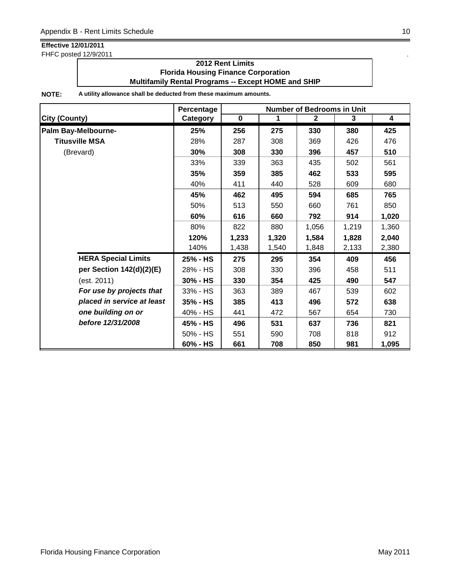FHFC posted 12/9/2011 .

### **2012 Rent Limits Florida Housing Finance Corporation Multifamily Rental Programs -- Except HOME and SHIP**

|                            | <b>Number of Bedrooms in Unit</b><br>Percentage |             |       |              |       |       |
|----------------------------|-------------------------------------------------|-------------|-------|--------------|-------|-------|
| <b>City (County)</b>       | Category                                        | $\mathbf 0$ | 1     | $\mathbf{2}$ | 3     | 4     |
| Palm Bay-Melbourne-        | 25%                                             | 256         | 275   | 330          | 380   | 425   |
| <b>Titusville MSA</b>      | 28%                                             | 287         | 308   | 369          | 426   | 476   |
| (Brevard)                  | 30%                                             | 308         | 330   | 396          | 457   | 510   |
|                            | 33%                                             | 339         | 363   | 435          | 502   | 561   |
|                            | 35%                                             | 359         | 385   | 462          | 533   | 595   |
|                            | 40%                                             | 411         | 440   | 528          | 609   | 680   |
|                            | 45%                                             | 462         | 495   | 594          | 685   | 765   |
|                            | 50%                                             | 513         | 550   | 660          | 761   | 850   |
|                            | 60%                                             | 616         | 660   | 792          | 914   | 1,020 |
|                            | 80%                                             | 822         | 880   | 1,056        | 1,219 | 1,360 |
|                            | 120%                                            | 1,233       | 1,320 | 1,584        | 1,828 | 2,040 |
|                            | 140%                                            | 1,438       | 1,540 | 1,848        | 2,133 | 2,380 |
| <b>HERA Special Limits</b> | 25% - HS                                        | 275         | 295   | 354          | 409   | 456   |
| per Section 142(d)(2)(E)   | 28% - HS                                        | 308         | 330   | 396          | 458   | 511   |
| (est. 2011)                | 30% - HS                                        | 330         | 354   | 425          | 490   | 547   |
| For use by projects that   | 33% - HS                                        | 363         | 389   | 467          | 539   | 602   |
| placed in service at least | 35% - HS                                        | 385         | 413   | 496          | 572   | 638   |
| one building on or         | 40% - HS                                        | 441         | 472   | 567          | 654   | 730   |
| before 12/31/2008          | 45% - HS                                        | 496         | 531   | 637          | 736   | 821   |
|                            | 50% - HS                                        | 551         | 590   | 708          | 818   | 912   |
|                            | 60% - HS                                        | 661         | 708   | 850          | 981   | 1,095 |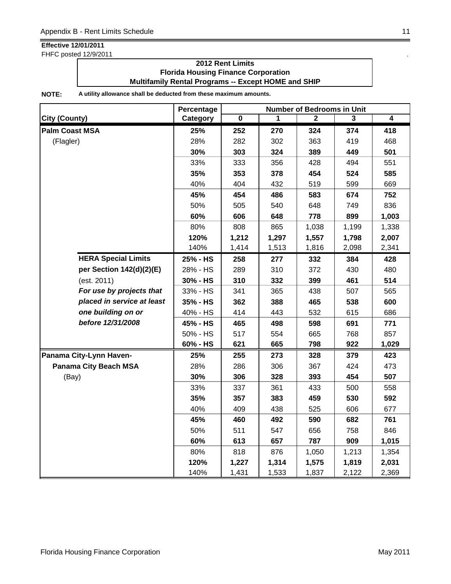FHFC posted 12/9/2011 .

### **2012 Rent Limits Florida Housing Finance Corporation Multifamily Rental Programs -- Except HOME and SHIP**

|                              | Percentage | <b>Number of Bedrooms in Unit</b> |       |       |       |       |  |
|------------------------------|------------|-----------------------------------|-------|-------|-------|-------|--|
| <b>City (County)</b>         | Category   | 0                                 | 1     | 2     | 3     | 4     |  |
| <b>Palm Coast MSA</b>        | 25%        | 252                               | 270   | 324   | 374   | 418   |  |
| (Flagler)                    | 28%        | 282                               | 302   | 363   | 419   | 468   |  |
|                              | 30%        | 303                               | 324   | 389   | 449   | 501   |  |
|                              | 33%        | 333                               | 356   | 428   | 494   | 551   |  |
|                              | 35%        | 353                               | 378   | 454   | 524   | 585   |  |
|                              | 40%        | 404                               | 432   | 519   | 599   | 669   |  |
|                              | 45%        | 454                               | 486   | 583   | 674   | 752   |  |
|                              | 50%        | 505                               | 540   | 648   | 749   | 836   |  |
|                              | 60%        | 606                               | 648   | 778   | 899   | 1,003 |  |
|                              | 80%        | 808                               | 865   | 1,038 | 1,199 | 1,338 |  |
|                              | 120%       | 1,212                             | 1,297 | 1,557 | 1,798 | 2,007 |  |
|                              | 140%       | 1,414                             | 1,513 | 1,816 | 2,098 | 2,341 |  |
| <b>HERA Special Limits</b>   | 25% - HS   | 258                               | 277   | 332   | 384   | 428   |  |
| per Section 142(d)(2)(E)     | 28% - HS   | 289                               | 310   | 372   | 430   | 480   |  |
| (est. 2011)                  | 30% - HS   | 310                               | 332   | 399   | 461   | 514   |  |
| For use by projects that     | 33% - HS   | 341                               | 365   | 438   | 507   | 565   |  |
| placed in service at least   | 35% - HS   | 362                               | 388   | 465   | 538   | 600   |  |
| one building on or           | 40% - HS   | 414                               | 443   | 532   | 615   | 686   |  |
| before 12/31/2008            | 45% - HS   | 465                               | 498   | 598   | 691   | 771   |  |
|                              | 50% - HS   | 517                               | 554   | 665   | 768   | 857   |  |
|                              | 60% - HS   | 621                               | 665   | 798   | 922   | 1,029 |  |
| Panama City-Lynn Haven-      | 25%        | 255                               | 273   | 328   | 379   | 423   |  |
| <b>Panama City Beach MSA</b> | 28%        | 286                               | 306   | 367   | 424   | 473   |  |
| (Bay)                        | 30%        | 306                               | 328   | 393   | 454   | 507   |  |
|                              | 33%        | 337                               | 361   | 433   | 500   | 558   |  |
|                              | 35%        | 357                               | 383   | 459   | 530   | 592   |  |
|                              | 40%        | 409                               | 438   | 525   | 606   | 677   |  |
|                              | 45%        | 460                               | 492   | 590   | 682   | 761   |  |
|                              | 50%        | 511                               | 547   | 656   | 758   | 846   |  |
|                              | 60%        | 613                               | 657   | 787   | 909   | 1,015 |  |
|                              | 80%        | 818                               | 876   | 1,050 | 1,213 | 1,354 |  |
|                              | 120%       | 1,227                             | 1,314 | 1,575 | 1,819 | 2,031 |  |
|                              | 140%       | 1,431                             | 1,533 | 1,837 | 2,122 | 2,369 |  |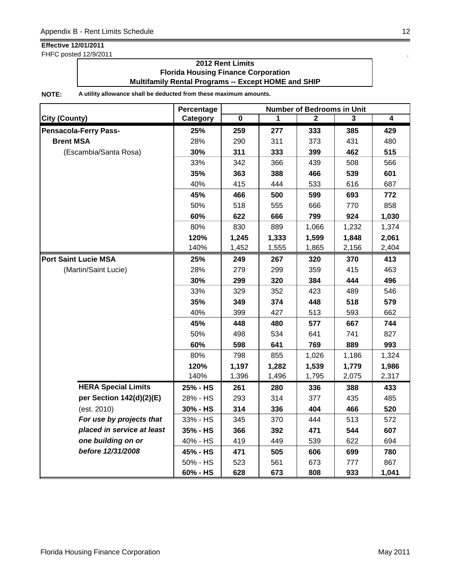FHFC posted 12/9/2011 .

### **2012 Rent Limits Florida Housing Finance Corporation Multifamily Rental Programs -- Except HOME and SHIP**

|                              | Percentage | <b>Number of Bedrooms in Unit</b> |       |       |       |       |  |
|------------------------------|------------|-----------------------------------|-------|-------|-------|-------|--|
| <b>City (County)</b>         | Category   | 0                                 | 1     | 2     | 3     | 4     |  |
| <b>Pensacola-Ferry Pass-</b> | 25%        | 259                               | 277   | 333   | 385   | 429   |  |
| <b>Brent MSA</b>             | 28%        | 290                               | 311   | 373   | 431   | 480   |  |
| (Escambia/Santa Rosa)        | 30%        | 311                               | 333   | 399   | 462   | 515   |  |
|                              | 33%        | 342                               | 366   | 439   | 508   | 566   |  |
|                              | 35%        | 363                               | 388   | 466   | 539   | 601   |  |
|                              | 40%        | 415                               | 444   | 533   | 616   | 687   |  |
|                              | 45%        | 466                               | 500   | 599   | 693   | 772   |  |
|                              | 50%        | 518                               | 555   | 666   | 770   | 858   |  |
|                              | 60%        | 622                               | 666   | 799   | 924   | 1,030 |  |
|                              | 80%        | 830                               | 889   | 1,066 | 1,232 | 1,374 |  |
|                              | 120%       | 1,245                             | 1,333 | 1,599 | 1,848 | 2,061 |  |
|                              | 140%       | 1,452                             | 1,555 | 1,865 | 2,156 | 2,404 |  |
| <b>Port Saint Lucie MSA</b>  | 25%        | 249                               | 267   | 320   | 370   | 413   |  |
| (Martin/Saint Lucie)         | 28%        | 279                               | 299   | 359   | 415   | 463   |  |
|                              | 30%        | 299                               | 320   | 384   | 444   | 496   |  |
|                              | 33%        | 329                               | 352   | 423   | 489   | 546   |  |
|                              | 35%        | 349                               | 374   | 448   | 518   | 579   |  |
|                              | 40%        | 399                               | 427   | 513   | 593   | 662   |  |
|                              | 45%        | 448                               | 480   | 577   | 667   | 744   |  |
|                              | 50%        | 498                               | 534   | 641   | 741   | 827   |  |
|                              | 60%        | 598                               | 641   | 769   | 889   | 993   |  |
|                              | 80%        | 798                               | 855   | 1,026 | 1,186 | 1,324 |  |
|                              | 120%       | 1,197                             | 1,282 | 1,539 | 1,779 | 1,986 |  |
|                              | 140%       | 1,396                             | 1,496 | 1,795 | 2,075 | 2,317 |  |
| <b>HERA Special Limits</b>   | 25% - HS   | 261                               | 280   | 336   | 388   | 433   |  |
| per Section 142(d)(2)(E)     | 28% - HS   | 293                               | 314   | 377   | 435   | 485   |  |
| (est. 2010)                  | 30% - HS   | 314                               | 336   | 404   | 466   | 520   |  |
| For use by projects that     | 33% - HS   | 345                               | 370   | 444   | 513   | 572   |  |
| placed in service at least   | 35% - HS   | 366                               | 392   | 471   | 544   | 607   |  |
| one building on or           | 40% - HS   | 419                               | 449   | 539   | 622   | 694   |  |
| before 12/31/2008            | 45% - HS   | 471                               | 505   | 606   | 699   | 780   |  |
|                              | 50% - HS   | 523                               | 561   | 673   | 777   | 867   |  |
|                              | 60% - HS   | 628                               | 673   | 808   | 933   | 1,041 |  |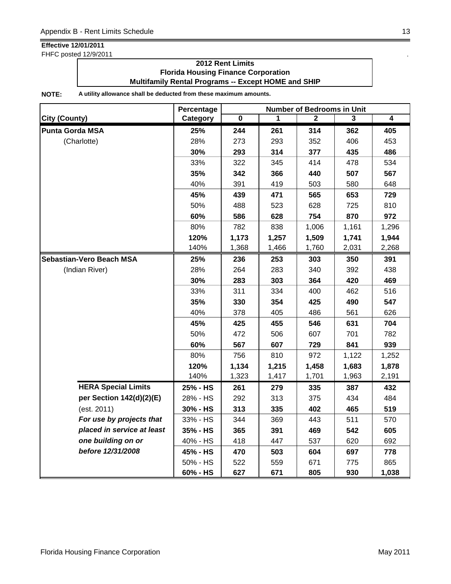FHFC posted 12/9/2011 .

### **2012 Rent Limits Florida Housing Finance Corporation Multifamily Rental Programs -- Except HOME and SHIP**

|                                 | Percentage | <b>Number of Bedrooms in Unit</b> |       |       |       |                |  |
|---------------------------------|------------|-----------------------------------|-------|-------|-------|----------------|--|
| City (County)                   | Category   | $\overline{\mathbf{0}}$           | 1     | 2     | 3     | $\overline{4}$ |  |
| <b>Punta Gorda MSA</b>          | 25%        | 244                               | 261   | 314   | 362   | 405            |  |
| (Charlotte)                     | 28%        | 273                               | 293   | 352   | 406   | 453            |  |
|                                 | 30%        | 293                               | 314   | 377   | 435   | 486            |  |
|                                 | 33%        | 322                               | 345   | 414   | 478   | 534            |  |
|                                 | 35%        | 342                               | 366   | 440   | 507   | 567            |  |
|                                 | 40%        | 391                               | 419   | 503   | 580   | 648            |  |
|                                 | 45%        | 439                               | 471   | 565   | 653   | 729            |  |
|                                 | 50%        | 488                               | 523   | 628   | 725   | 810            |  |
|                                 | 60%        | 586                               | 628   | 754   | 870   | 972            |  |
|                                 | 80%        | 782                               | 838   | 1,006 | 1,161 | 1,296          |  |
|                                 | 120%       | 1,173                             | 1,257 | 1,509 | 1,741 | 1,944          |  |
|                                 | 140%       | 1,368                             | 1,466 | 1,760 | 2,031 | 2,268          |  |
| <b>Sebastian-Vero Beach MSA</b> | 25%        | 236                               | 253   | 303   | 350   | 391            |  |
| (Indian River)                  | 28%        | 264                               | 283   | 340   | 392   | 438            |  |
|                                 | 30%        | 283                               | 303   | 364   | 420   | 469            |  |
|                                 | 33%        | 311                               | 334   | 400   | 462   | 516            |  |
|                                 | 35%        | 330                               | 354   | 425   | 490   | 547            |  |
|                                 | 40%        | 378                               | 405   | 486   | 561   | 626            |  |
|                                 | 45%        | 425                               | 455   | 546   | 631   | 704            |  |
|                                 | 50%        | 472                               | 506   | 607   | 701   | 782            |  |
|                                 | 60%        | 567                               | 607   | 729   | 841   | 939            |  |
|                                 | 80%        | 756                               | 810   | 972   | 1,122 | 1,252          |  |
|                                 | 120%       | 1,134                             | 1,215 | 1,458 | 1,683 | 1,878          |  |
|                                 | 140%       | 1,323                             | 1,417 | 1,701 | 1,963 | 2,191          |  |
| <b>HERA Special Limits</b>      | 25% - HS   | 261                               | 279   | 335   | 387   | 432            |  |
| per Section 142(d)(2)(E)        | 28% - HS   | 292                               | 313   | 375   | 434   | 484            |  |
| (est. 2011)                     | 30% - HS   | 313                               | 335   | 402   | 465   | 519            |  |
| For use by projects that        | 33% - HS   | 344                               | 369   | 443   | 511   | 570            |  |
| placed in service at least      | 35% - HS   | 365                               | 391   | 469   | 542   | 605            |  |
| one building on or              | 40% - HS   | 418                               | 447   | 537   | 620   | 692            |  |
| before 12/31/2008               | 45% - HS   | 470                               | 503   | 604   | 697   | 778            |  |
|                                 | 50% - HS   | 522                               | 559   | 671   | 775   | 865            |  |
|                                 | 60% - HS   | 627                               | 671   | 805   | 930   | 1,038          |  |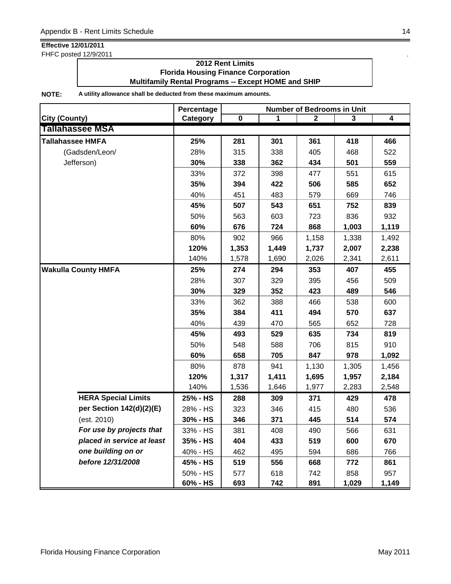FHFC posted 12/9/2011 .

### **2012 Rent Limits Florida Housing Finance Corporation Multifamily Rental Programs -- Except HOME and SHIP**

|                            | Percentage | <b>Number of Bedrooms in Unit</b> |       |                |       |                |  |
|----------------------------|------------|-----------------------------------|-------|----------------|-------|----------------|--|
| <b>City (County)</b>       | Category   | $\pmb{0}$                         | 1     | $\overline{2}$ | 3     | $\overline{4}$ |  |
| <b>Tallahassee MSA</b>     |            |                                   |       |                |       |                |  |
| <b>Tallahassee HMFA</b>    | 25%        | 281                               | 301   | 361            | 418   | 466            |  |
| (Gadsden/Leon/             | 28%        | 315                               | 338   | 405            | 468   | 522            |  |
| Jefferson)                 | 30%        | 338                               | 362   | 434            | 501   | 559            |  |
|                            | 33%        | 372                               | 398   | 477            | 551   | 615            |  |
|                            | 35%        | 394                               | 422   | 506            | 585   | 652            |  |
|                            | 40%        | 451                               | 483   | 579            | 669   | 746            |  |
|                            | 45%        | 507                               | 543   | 651            | 752   | 839            |  |
|                            | 50%        | 563                               | 603   | 723            | 836   | 932            |  |
|                            | 60%        | 676                               | 724   | 868            | 1,003 | 1,119          |  |
|                            | 80%        | 902                               | 966   | 1,158          | 1,338 | 1,492          |  |
|                            | 120%       | 1,353                             | 1,449 | 1,737          | 2,007 | 2,238          |  |
|                            | 140%       | 1,578                             | 1,690 | 2,026          | 2,341 | 2,611          |  |
| <b>Wakulla County HMFA</b> | 25%        | 274                               | 294   | 353            | 407   | 455            |  |
|                            | 28%        | 307                               | 329   | 395            | 456   | 509            |  |
|                            | 30%        | 329                               | 352   | 423            | 489   | 546            |  |
|                            | 33%        | 362                               | 388   | 466            | 538   | 600            |  |
|                            | 35%        | 384                               | 411   | 494            | 570   | 637            |  |
|                            | 40%        | 439                               | 470   | 565            | 652   | 728            |  |
|                            | 45%        | 493                               | 529   | 635            | 734   | 819            |  |
|                            | 50%        | 548                               | 588   | 706            | 815   | 910            |  |
|                            | 60%        | 658                               | 705   | 847            | 978   | 1,092          |  |
|                            | 80%        | 878                               | 941   | 1,130          | 1,305 | 1,456          |  |
|                            | 120%       | 1,317                             | 1,411 | 1,695          | 1,957 | 2,184          |  |
|                            | 140%       | 1,536                             | 1,646 | 1,977          | 2,283 | 2,548          |  |
| <b>HERA Special Limits</b> | 25% - HS   | 288                               | 309   | 371            | 429   | 478            |  |
| per Section 142(d)(2)(E)   | 28% - HS   | 323                               | 346   | 415            | 480   | 536            |  |
| (est. 2010)                | 30% - HS   | 346                               | 371   | 445            | 514   | 574            |  |
| For use by projects that   | 33% - HS   | 381                               | 408   | 490            | 566   | 631            |  |
| placed in service at least | 35% - HS   | 404                               | 433   | 519            | 600   | 670            |  |
| one building on or         | 40% - HS   | 462                               | 495   | 594            | 686   | 766            |  |
| before 12/31/2008          | 45% - HS   | 519                               | 556   | 668            | 772   | 861            |  |
|                            | 50% - HS   | 577                               | 618   | 742            | 858   | 957            |  |
|                            | 60% - HS   | 693                               | 742   | 891            | 1,029 | 1,149          |  |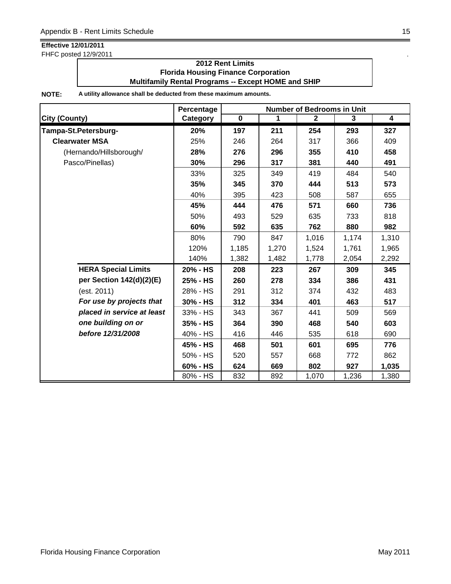FHFC posted 12/9/2011 .

### **2012 Rent Limits Florida Housing Finance Corporation Multifamily Rental Programs -- Except HOME and SHIP**

|                            | Percentage |             |       | <b>Number of Bedrooms in Unit</b> |       |                         |
|----------------------------|------------|-------------|-------|-----------------------------------|-------|-------------------------|
| <b>City (County)</b>       | Category   | $\mathbf 0$ | 1     | $\mathbf{2}$                      | 3     | $\overline{\mathbf{4}}$ |
| Tampa-St.Petersburg-       | 20%        | 197         | 211   | 254                               | 293   | 327                     |
| <b>Clearwater MSA</b>      | 25%        | 246         | 264   | 317                               | 366   | 409                     |
| (Hernando/Hillsborough/    | 28%        | 276         | 296   | 355                               | 410   | 458                     |
| Pasco/Pinellas)            | 30%        | 296         | 317   | 381                               | 440   | 491                     |
|                            | 33%        | 325         | 349   | 419                               | 484   | 540                     |
|                            | 35%        | 345         | 370   | 444                               | 513   | 573                     |
|                            | 40%        | 395         | 423   | 508                               | 587   | 655                     |
|                            | 45%        | 444         | 476   | 571                               | 660   | 736                     |
|                            | 50%        | 493         | 529   | 635                               | 733   | 818                     |
|                            | 60%        | 592         | 635   | 762                               | 880   | 982                     |
|                            | 80%        | 790         | 847   | 1,016                             | 1,174 | 1,310                   |
|                            | 120%       | 1,185       | 1,270 | 1,524                             | 1,761 | 1,965                   |
|                            | 140%       | 1,382       | 1,482 | 1,778                             | 2,054 | 2,292                   |
| <b>HERA Special Limits</b> | 20% - HS   | 208         | 223   | 267                               | 309   | 345                     |
| per Section 142(d)(2)(E)   | 25% - HS   | 260         | 278   | 334                               | 386   | 431                     |
| (est. 2011)                | 28% - HS   | 291         | 312   | 374                               | 432   | 483                     |
| For use by projects that   | 30% - HS   | 312         | 334   | 401                               | 463   | 517                     |
| placed in service at least | 33% - HS   | 343         | 367   | 441                               | 509   | 569                     |
| one building on or         | 35% - HS   | 364         | 390   | 468                               | 540   | 603                     |
| before 12/31/2008          | 40% - HS   | 416         | 446   | 535                               | 618   | 690                     |
|                            | 45% - HS   | 468         | 501   | 601                               | 695   | 776                     |
|                            | 50% - HS   | 520         | 557   | 668                               | 772   | 862                     |
|                            | 60% - HS   | 624         | 669   | 802                               | 927   | 1,035                   |
|                            | 80% - HS   | 832         | 892   | 1,070                             | 1,236 | 1,380                   |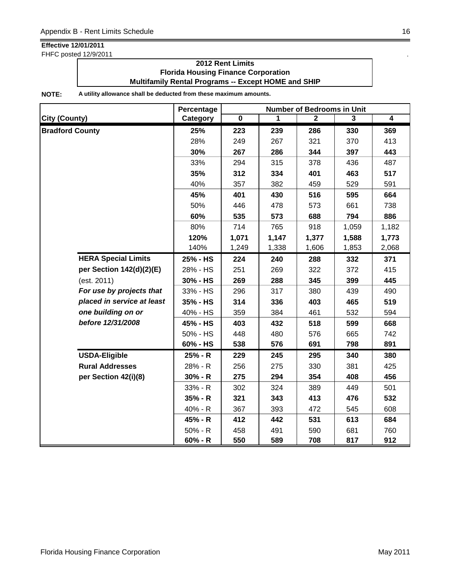FHFC posted 12/9/2011 .

### **2012 Rent Limits Florida Housing Finance Corporation Multifamily Rental Programs -- Except HOME and SHIP**

|                            | Percentage | <b>Number of Bedrooms in Unit</b> |       |              |       |                         |  |
|----------------------------|------------|-----------------------------------|-------|--------------|-------|-------------------------|--|
| <b>City (County)</b>       | Category   | $\overline{\mathbf{0}}$           | 1     | $\mathbf{2}$ | 3     | $\overline{\mathbf{4}}$ |  |
| <b>Bradford County</b>     | 25%        | 223                               | 239   | 286          | 330   | 369                     |  |
|                            | 28%        | 249                               | 267   | 321          | 370   | 413                     |  |
|                            | 30%        | 267                               | 286   | 344          | 397   | 443                     |  |
|                            | 33%        | 294                               | 315   | 378          | 436   | 487                     |  |
|                            | 35%        | 312                               | 334   | 401          | 463   | 517                     |  |
|                            | 40%        | 357                               | 382   | 459          | 529   | 591                     |  |
|                            | 45%        | 401                               | 430   | 516          | 595   | 664                     |  |
|                            | 50%        | 446                               | 478   | 573          | 661   | 738                     |  |
|                            | 60%        | 535                               | 573   | 688          | 794   | 886                     |  |
|                            | 80%        | 714                               | 765   | 918          | 1,059 | 1,182                   |  |
|                            | 120%       | 1,071                             | 1,147 | 1,377        | 1,588 | 1,773                   |  |
|                            | 140%       | 1,249                             | 1,338 | 1,606        | 1,853 | 2,068                   |  |
| <b>HERA Special Limits</b> | 25% - HS   | 224                               | 240   | 288          | 332   | 371                     |  |
| per Section 142(d)(2)(E)   | 28% - HS   | 251                               | 269   | 322          | 372   | 415                     |  |
| (est. 2011)                | 30% - HS   | 269                               | 288   | 345          | 399   | 445                     |  |
| For use by projects that   | 33% - HS   | 296                               | 317   | 380          | 439   | 490                     |  |
| placed in service at least | 35% - HS   | 314                               | 336   | 403          | 465   | 519                     |  |
| one building on or         | 40% - HS   | 359                               | 384   | 461          | 532   | 594                     |  |
| before 12/31/2008          | 45% - HS   | 403                               | 432   | 518          | 599   | 668                     |  |
|                            | 50% - HS   | 448                               | 480   | 576          | 665   | 742                     |  |
|                            | 60% - HS   | 538                               | 576   | 691          | 798   | 891                     |  |
| <b>USDA-Eligible</b>       | 25% - R    | 229                               | 245   | 295          | 340   | 380                     |  |
| <b>Rural Addresses</b>     | 28% - R    | 256                               | 275   | 330          | 381   | 425                     |  |
| per Section 42(i)(8)       | $30% - R$  | 275                               | 294   | 354          | 408   | 456                     |  |
|                            | 33% - R    | 302                               | 324   | 389          | 449   | 501                     |  |
|                            | 35% - R    | 321                               | 343   | 413          | 476   | 532                     |  |
|                            | 40% - R    | 367                               | 393   | 472          | 545   | 608                     |  |
|                            | 45% - R    | 412                               | 442   | 531          | 613   | 684                     |  |
|                            | $50% - R$  | 458                               | 491   | 590          | 681   | 760                     |  |
|                            | $60% - R$  | 550                               | 589   | 708          | 817   | 912                     |  |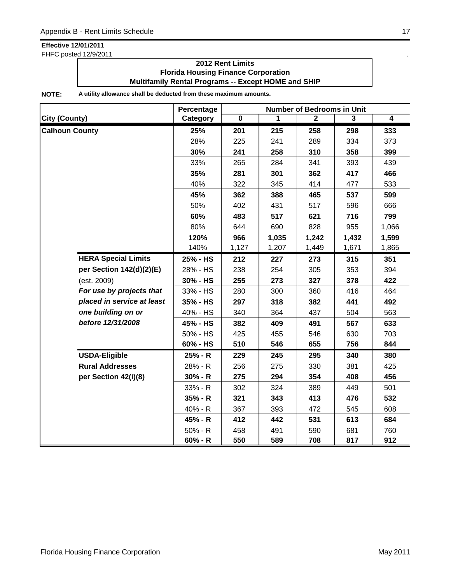FHFC posted 12/9/2011 .

### **2012 Rent Limits Florida Housing Finance Corporation Multifamily Rental Programs -- Except HOME and SHIP**

|                            | Percentage | <b>Number of Bedrooms in Unit</b> |       |              |       |                |  |
|----------------------------|------------|-----------------------------------|-------|--------------|-------|----------------|--|
| <b>City (County)</b>       | Category   | $\overline{\mathbf{0}}$           | 1     | $\mathbf{2}$ | 3     | $\overline{4}$ |  |
| <b>Calhoun County</b>      | 25%        | 201                               | 215   | 258          | 298   | 333            |  |
|                            | 28%        | 225                               | 241   | 289          | 334   | 373            |  |
|                            | 30%        | 241                               | 258   | 310          | 358   | 399            |  |
|                            | 33%        | 265                               | 284   | 341          | 393   | 439            |  |
|                            | 35%        | 281                               | 301   | 362          | 417   | 466            |  |
|                            | 40%        | 322                               | 345   | 414          | 477   | 533            |  |
|                            | 45%        | 362                               | 388   | 465          | 537   | 599            |  |
|                            | 50%        | 402                               | 431   | 517          | 596   | 666            |  |
|                            | 60%        | 483                               | 517   | 621          | 716   | 799            |  |
|                            | 80%        | 644                               | 690   | 828          | 955   | 1,066          |  |
|                            | 120%       | 966                               | 1,035 | 1,242        | 1,432 | 1,599          |  |
|                            | 140%       | 1,127                             | 1,207 | 1,449        | 1,671 | 1,865          |  |
| <b>HERA Special Limits</b> | 25% - HS   | 212                               | 227   | 273          | 315   | 351            |  |
| per Section 142(d)(2)(E)   | 28% - HS   | 238                               | 254   | 305          | 353   | 394            |  |
| (est. 2009)                | 30% - HS   | 255                               | 273   | 327          | 378   | 422            |  |
| For use by projects that   | 33% - HS   | 280                               | 300   | 360          | 416   | 464            |  |
| placed in service at least | 35% - HS   | 297                               | 318   | 382          | 441   | 492            |  |
| one building on or         | 40% - HS   | 340                               | 364   | 437          | 504   | 563            |  |
| before 12/31/2008          | 45% - HS   | 382                               | 409   | 491          | 567   | 633            |  |
|                            | 50% - HS   | 425                               | 455   | 546          | 630   | 703            |  |
|                            | 60% - HS   | 510                               | 546   | 655          | 756   | 844            |  |
| <b>USDA-Eligible</b>       | 25% - R    | 229                               | 245   | 295          | 340   | 380            |  |
| <b>Rural Addresses</b>     | 28% - R    | 256                               | 275   | 330          | 381   | 425            |  |
| per Section 42(i)(8)       | $30% - R$  | 275                               | 294   | 354          | 408   | 456            |  |
|                            | 33% - R    | 302                               | 324   | 389          | 449   | 501            |  |
|                            | $35% - R$  | 321                               | 343   | 413          | 476   | 532            |  |
|                            | 40% - R    | 367                               | 393   | 472          | 545   | 608            |  |
|                            | 45% - R    | 412                               | 442   | 531          | 613   | 684            |  |
|                            | $50% - R$  | 458                               | 491   | 590          | 681   | 760            |  |
|                            | $60% - R$  | 550                               | 589   | 708          | 817   | 912            |  |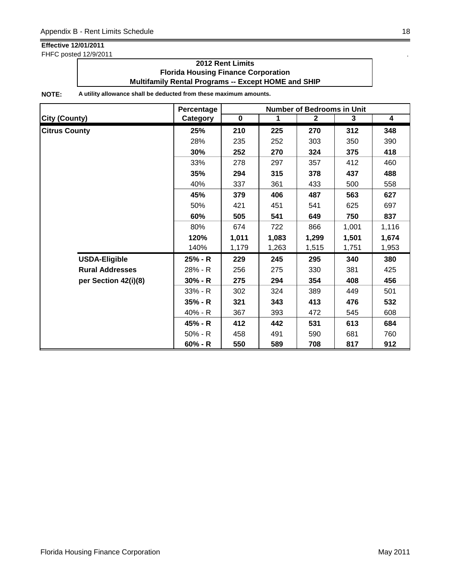FHFC posted 12/9/2011 .

### **2012 Rent Limits Florida Housing Finance Corporation Multifamily Rental Programs -- Except HOME and SHIP**

|                        | <b>Number of Bedrooms in Unit</b><br>Percentage |           |             |                |       |                         |
|------------------------|-------------------------------------------------|-----------|-------------|----------------|-------|-------------------------|
| <b>City (County)</b>   | Category                                        | $\pmb{0}$ | $\mathbf 1$ | $\overline{2}$ | 3     | $\overline{\mathbf{4}}$ |
| <b>Citrus County</b>   | 25%                                             | 210       | 225         | 270            | 312   | 348                     |
|                        | 28%                                             | 235       | 252         | 303            | 350   | 390                     |
|                        | 30%                                             | 252       | 270         | 324            | 375   | 418                     |
|                        | 33%                                             | 278       | 297         | 357            | 412   | 460                     |
|                        | 35%                                             | 294       | 315         | 378            | 437   | 488                     |
|                        | 40%                                             | 337       | 361         | 433            | 500   | 558                     |
|                        | 45%                                             | 379       | 406         | 487            | 563   | 627                     |
|                        | 50%                                             | 421       | 451         | 541            | 625   | 697                     |
|                        | 60%                                             | 505       | 541         | 649            | 750   | 837                     |
|                        | 80%                                             | 674       | 722         | 866            | 1,001 | 1,116                   |
|                        | 120%                                            | 1,011     | 1,083       | 1,299          | 1,501 | 1,674                   |
|                        | 140%                                            | 1,179     | 1,263       | 1,515          | 1,751 | 1,953                   |
| <b>USDA-Eligible</b>   | 25% - R                                         | 229       | 245         | 295            | 340   | 380                     |
| <b>Rural Addresses</b> | 28% - R                                         | 256       | 275         | 330            | 381   | 425                     |
| per Section 42(i)(8)   | $30% - R$                                       | 275       | 294         | 354            | 408   | 456                     |
|                        | $33% - R$                                       | 302       | 324         | 389            | 449   | 501                     |
|                        | $35% - R$                                       | 321       | 343         | 413            | 476   | 532                     |
|                        | 40% - R                                         | 367       | 393         | 472            | 545   | 608                     |
|                        | 45% - R                                         | 412       | 442         | 531            | 613   | 684                     |
|                        | $50\% - R$                                      | 458       | 491         | 590            | 681   | 760                     |
|                        | $60% - R$                                       | 550       | 589         | 708            | 817   | 912                     |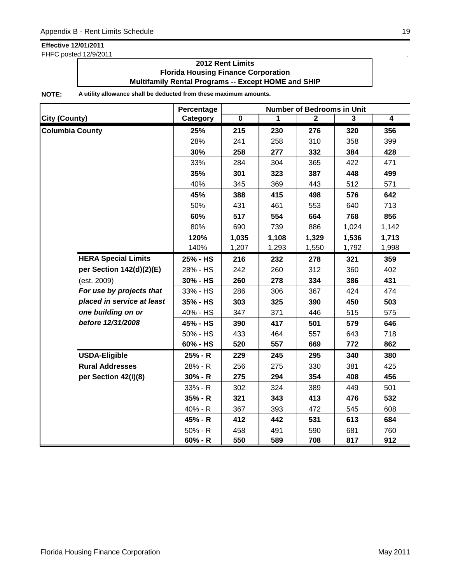FHFC posted 12/9/2011 .

### **2012 Rent Limits Florida Housing Finance Corporation Multifamily Rental Programs -- Except HOME and SHIP**

|                            | Percentage | <b>Number of Bedrooms in Unit</b> |       |              |       |                         |  |
|----------------------------|------------|-----------------------------------|-------|--------------|-------|-------------------------|--|
| <b>City (County)</b>       | Category   | $\overline{\mathbf{0}}$           | 1     | $\mathbf{2}$ | 3     | $\overline{\mathbf{4}}$ |  |
| <b>Columbia County</b>     | 25%        | 215                               | 230   | 276          | 320   | 356                     |  |
|                            | 28%        | 241                               | 258   | 310          | 358   | 399                     |  |
|                            | 30%        | 258                               | 277   | 332          | 384   | 428                     |  |
|                            | 33%        | 284                               | 304   | 365          | 422   | 471                     |  |
|                            | 35%        | 301                               | 323   | 387          | 448   | 499                     |  |
|                            | 40%        | 345                               | 369   | 443          | 512   | 571                     |  |
|                            | 45%        | 388                               | 415   | 498          | 576   | 642                     |  |
|                            | 50%        | 431                               | 461   | 553          | 640   | 713                     |  |
|                            | 60%        | 517                               | 554   | 664          | 768   | 856                     |  |
|                            | 80%        | 690                               | 739   | 886          | 1,024 | 1,142                   |  |
|                            | 120%       | 1,035                             | 1,108 | 1,329        | 1,536 | 1,713                   |  |
|                            | 140%       | 1,207                             | 1,293 | 1,550        | 1,792 | 1,998                   |  |
| <b>HERA Special Limits</b> | 25% - HS   | 216                               | 232   | 278          | 321   | 359                     |  |
| per Section 142(d)(2)(E)   | 28% - HS   | 242                               | 260   | 312          | 360   | 402                     |  |
| (est. 2009)                | 30% - HS   | 260                               | 278   | 334          | 386   | 431                     |  |
| For use by projects that   | 33% - HS   | 286                               | 306   | 367          | 424   | 474                     |  |
| placed in service at least | 35% - HS   | 303                               | 325   | 390          | 450   | 503                     |  |
| one building on or         | 40% - HS   | 347                               | 371   | 446          | 515   | 575                     |  |
| before 12/31/2008          | 45% - HS   | 390                               | 417   | 501          | 579   | 646                     |  |
|                            | 50% - HS   | 433                               | 464   | 557          | 643   | 718                     |  |
|                            | 60% - HS   | 520                               | 557   | 669          | 772   | 862                     |  |
| <b>USDA-Eligible</b>       | 25% - R    | 229                               | 245   | 295          | 340   | 380                     |  |
| <b>Rural Addresses</b>     | 28% - R    | 256                               | 275   | 330          | 381   | 425                     |  |
| per Section 42(i)(8)       | $30% - R$  | 275                               | 294   | 354          | 408   | 456                     |  |
|                            | 33% - R    | 302                               | 324   | 389          | 449   | 501                     |  |
|                            | 35% - R    | 321                               | 343   | 413          | 476   | 532                     |  |
|                            | 40% - R    | 367                               | 393   | 472          | 545   | 608                     |  |
|                            | 45% - R    | 412                               | 442   | 531          | 613   | 684                     |  |
|                            | $50% - R$  | 458                               | 491   | 590          | 681   | 760                     |  |
|                            | $60% - R$  | 550                               | 589   | 708          | 817   | 912                     |  |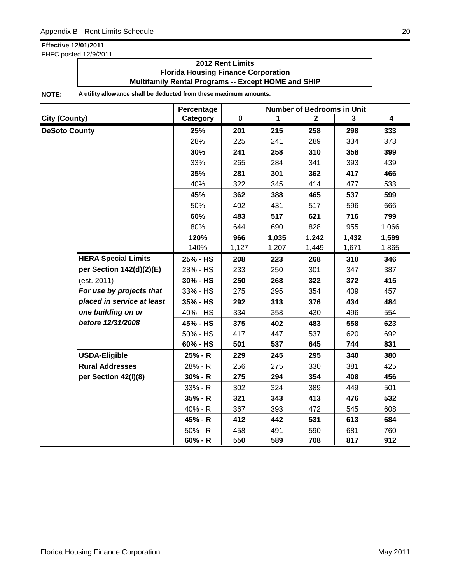FHFC posted 12/9/2011 .

### **2012 Rent Limits Florida Housing Finance Corporation Multifamily Rental Programs -- Except HOME and SHIP**

|                            | Percentage | <b>Number of Bedrooms in Unit</b> |       |              |                |                |  |
|----------------------------|------------|-----------------------------------|-------|--------------|----------------|----------------|--|
| <b>City (County)</b>       | Category   | $\overline{\mathbf{0}}$           | 1     | $\mathbf{2}$ | $\overline{3}$ | $\overline{4}$ |  |
| <b>DeSoto County</b>       | 25%        | 201                               | 215   | 258          | 298            | 333            |  |
|                            | 28%        | 225                               | 241   | 289          | 334            | 373            |  |
|                            | 30%        | 241                               | 258   | 310          | 358            | 399            |  |
|                            | 33%        | 265                               | 284   | 341          | 393            | 439            |  |
|                            | 35%        | 281                               | 301   | 362          | 417            | 466            |  |
|                            | 40%        | 322                               | 345   | 414          | 477            | 533            |  |
|                            | 45%        | 362                               | 388   | 465          | 537            | 599            |  |
|                            | 50%        | 402                               | 431   | 517          | 596            | 666            |  |
|                            | 60%        | 483                               | 517   | 621          | 716            | 799            |  |
|                            | 80%        | 644                               | 690   | 828          | 955            | 1,066          |  |
|                            | 120%       | 966                               | 1,035 | 1,242        | 1,432          | 1,599          |  |
|                            | 140%       | 1,127                             | 1,207 | 1,449        | 1,671          | 1,865          |  |
| <b>HERA Special Limits</b> | 25% - HS   | 208                               | 223   | 268          | 310            | 346            |  |
| per Section 142(d)(2)(E)   | 28% - HS   | 233                               | 250   | 301          | 347            | 387            |  |
| (est. 2011)                | 30% - HS   | 250                               | 268   | 322          | 372            | 415            |  |
| For use by projects that   | 33% - HS   | 275                               | 295   | 354          | 409            | 457            |  |
| placed in service at least | 35% - HS   | 292                               | 313   | 376          | 434            | 484            |  |
| one building on or         | 40% - HS   | 334                               | 358   | 430          | 496            | 554            |  |
| before 12/31/2008          | 45% - HS   | 375                               | 402   | 483          | 558            | 623            |  |
|                            | 50% - HS   | 417                               | 447   | 537          | 620            | 692            |  |
|                            | 60% - HS   | 501                               | 537   | 645          | 744            | 831            |  |
| <b>USDA-Eligible</b>       | 25% - R    | 229                               | 245   | 295          | 340            | 380            |  |
| <b>Rural Addresses</b>     | 28% - R    | 256                               | 275   | 330          | 381            | 425            |  |
| per Section 42(i)(8)       | $30% - R$  | 275                               | 294   | 354          | 408            | 456            |  |
|                            | 33% - R    | 302                               | 324   | 389          | 449            | 501            |  |
|                            | 35% - R    | 321                               | 343   | 413          | 476            | 532            |  |
|                            | 40% - R    | 367                               | 393   | 472          | 545            | 608            |  |
|                            | 45% - R    | 412                               | 442   | 531          | 613            | 684            |  |
|                            | $50% - R$  | 458                               | 491   | 590          | 681            | 760            |  |
|                            | $60% - R$  | 550                               | 589   | 708          | 817            | 912            |  |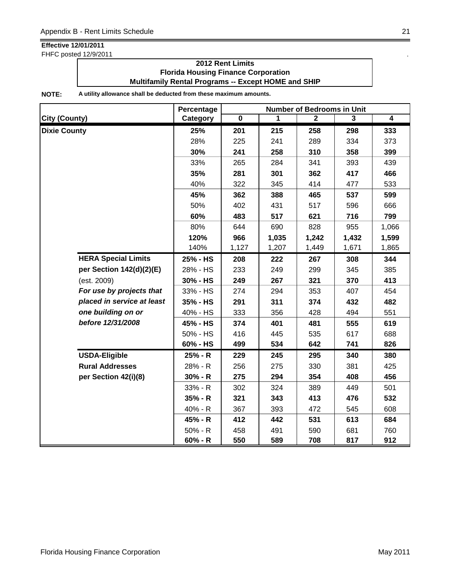FHFC posted 12/9/2011 .

### **2012 Rent Limits Florida Housing Finance Corporation Multifamily Rental Programs -- Except HOME and SHIP**

|                            | Percentage | <b>Number of Bedrooms in Unit</b> |       |                |       |                |  |
|----------------------------|------------|-----------------------------------|-------|----------------|-------|----------------|--|
| <b>City (County)</b>       | Category   | $\overline{\mathbf{0}}$           | 1     | $\overline{2}$ | 3     | $\overline{4}$ |  |
| <b>Dixie County</b>        | 25%        | 201                               | 215   | 258            | 298   | 333            |  |
|                            | 28%        | 225                               | 241   | 289            | 334   | 373            |  |
|                            | 30%        | 241                               | 258   | 310            | 358   | 399            |  |
|                            | 33%        | 265                               | 284   | 341            | 393   | 439            |  |
|                            | 35%        | 281                               | 301   | 362            | 417   | 466            |  |
|                            | 40%        | 322                               | 345   | 414            | 477   | 533            |  |
|                            | 45%        | 362                               | 388   | 465            | 537   | 599            |  |
|                            | 50%        | 402                               | 431   | 517            | 596   | 666            |  |
|                            | 60%        | 483                               | 517   | 621            | 716   | 799            |  |
|                            | 80%        | 644                               | 690   | 828            | 955   | 1,066          |  |
|                            | 120%       | 966                               | 1,035 | 1,242          | 1,432 | 1,599          |  |
|                            | 140%       | 1,127                             | 1,207 | 1,449          | 1,671 | 1,865          |  |
| <b>HERA Special Limits</b> | 25% - HS   | 208                               | 222   | 267            | 308   | 344            |  |
| per Section 142(d)(2)(E)   | 28% - HS   | 233                               | 249   | 299            | 345   | 385            |  |
| (est. 2009)                | 30% - HS   | 249                               | 267   | 321            | 370   | 413            |  |
| For use by projects that   | 33% - HS   | 274                               | 294   | 353            | 407   | 454            |  |
| placed in service at least | 35% - HS   | 291                               | 311   | 374            | 432   | 482            |  |
| one building on or         | 40% - HS   | 333                               | 356   | 428            | 494   | 551            |  |
| before 12/31/2008          | 45% - HS   | 374                               | 401   | 481            | 555   | 619            |  |
|                            | 50% - HS   | 416                               | 445   | 535            | 617   | 688            |  |
|                            | 60% - HS   | 499                               | 534   | 642            | 741   | 826            |  |
| <b>USDA-Eligible</b>       | 25% - R    | 229                               | 245   | 295            | 340   | 380            |  |
| <b>Rural Addresses</b>     | 28% - R    | 256                               | 275   | 330            | 381   | 425            |  |
| per Section 42(i)(8)       | $30% - R$  | 275                               | 294   | 354            | 408   | 456            |  |
|                            | 33% - R    | 302                               | 324   | 389            | 449   | 501            |  |
|                            | $35% - R$  | 321                               | 343   | 413            | 476   | 532            |  |
|                            | 40% - R    | 367                               | 393   | 472            | 545   | 608            |  |
|                            | 45% - R    | 412                               | 442   | 531            | 613   | 684            |  |
|                            | 50% - R    | 458                               | 491   | 590            | 681   | 760            |  |
|                            | 60% - R    | 550                               | 589   | 708            | 817   | 912            |  |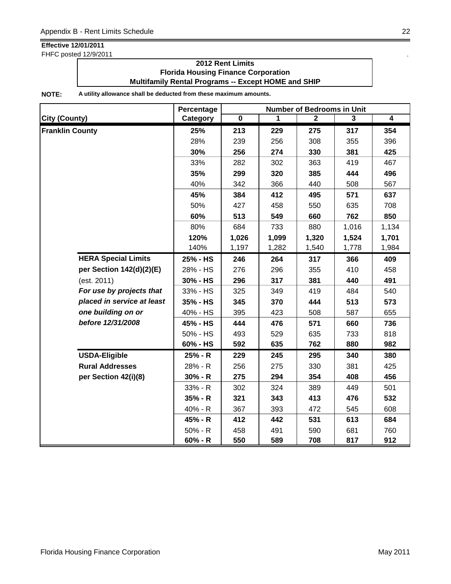FHFC posted 12/9/2011 .

### **2012 Rent Limits Florida Housing Finance Corporation Multifamily Rental Programs -- Except HOME and SHIP**

|                            | Percentage | <b>Number of Bedrooms in Unit</b> |       |              |                |                |  |
|----------------------------|------------|-----------------------------------|-------|--------------|----------------|----------------|--|
| <b>City (County)</b>       | Category   | $\overline{\mathbf{0}}$           | 1     | $\mathbf{2}$ | $\overline{3}$ | $\overline{4}$ |  |
| <b>Franklin County</b>     | 25%        | 213                               | 229   | 275          | 317            | 354            |  |
|                            | 28%        | 239                               | 256   | 308          | 355            | 396            |  |
|                            | 30%        | 256                               | 274   | 330          | 381            | 425            |  |
|                            | 33%        | 282                               | 302   | 363          | 419            | 467            |  |
|                            | 35%        | 299                               | 320   | 385          | 444            | 496            |  |
|                            | 40%        | 342                               | 366   | 440          | 508            | 567            |  |
|                            | 45%        | 384                               | 412   | 495          | 571            | 637            |  |
|                            | 50%        | 427                               | 458   | 550          | 635            | 708            |  |
|                            | 60%        | 513                               | 549   | 660          | 762            | 850            |  |
|                            | 80%        | 684                               | 733   | 880          | 1,016          | 1,134          |  |
|                            | 120%       | 1,026                             | 1,099 | 1,320        | 1,524          | 1,701          |  |
|                            | 140%       | 1,197                             | 1,282 | 1,540        | 1,778          | 1,984          |  |
| <b>HERA Special Limits</b> | 25% - HS   | 246                               | 264   | 317          | 366            | 409            |  |
| per Section 142(d)(2)(E)   | 28% - HS   | 276                               | 296   | 355          | 410            | 458            |  |
| (est. 2011)                | 30% - HS   | 296                               | 317   | 381          | 440            | 491            |  |
| For use by projects that   | 33% - HS   | 325                               | 349   | 419          | 484            | 540            |  |
| placed in service at least | 35% - HS   | 345                               | 370   | 444          | 513            | 573            |  |
| one building on or         | 40% - HS   | 395                               | 423   | 508          | 587            | 655            |  |
| before 12/31/2008          | 45% - HS   | 444                               | 476   | 571          | 660            | 736            |  |
|                            | 50% - HS   | 493                               | 529   | 635          | 733            | 818            |  |
|                            | 60% - HS   | 592                               | 635   | 762          | 880            | 982            |  |
| <b>USDA-Eligible</b>       | 25% - R    | 229                               | 245   | 295          | 340            | 380            |  |
| <b>Rural Addresses</b>     | 28% - R    | 256                               | 275   | 330          | 381            | 425            |  |
| per Section 42(i)(8)       | $30% - R$  | 275                               | 294   | 354          | 408            | 456            |  |
|                            | 33% - R    | 302                               | 324   | 389          | 449            | 501            |  |
|                            | $35% - R$  | 321                               | 343   | 413          | 476            | 532            |  |
|                            | 40% - R    | 367                               | 393   | 472          | 545            | 608            |  |
|                            | 45% - R    | 412                               | 442   | 531          | 613            | 684            |  |
|                            | $50% - R$  | 458                               | 491   | 590          | 681            | 760            |  |
|                            | $60% - R$  | 550                               | 589   | 708          | 817            | 912            |  |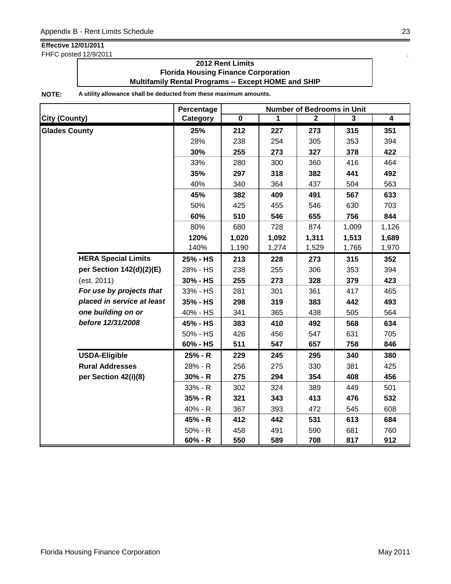FHFC posted 12/9/2011 .

### **2012 Rent Limits Florida Housing Finance Corporation Multifamily Rental Programs -- Except HOME and SHIP**

|                            | Percentage | <b>Number of Bedrooms in Unit</b> |       |                |       |                |  |
|----------------------------|------------|-----------------------------------|-------|----------------|-------|----------------|--|
| <b>City (County)</b>       | Category   | $\overline{\mathbf{0}}$           | 1     | $\overline{2}$ | 3     | $\overline{4}$ |  |
| <b>Glades County</b>       | 25%        | 212                               | 227   | 273            | 315   | 351            |  |
|                            | 28%        | 238                               | 254   | 305            | 353   | 394            |  |
|                            | 30%        | 255                               | 273   | 327            | 378   | 422            |  |
|                            | 33%        | 280                               | 300   | 360            | 416   | 464            |  |
|                            | 35%        | 297                               | 318   | 382            | 441   | 492            |  |
|                            | 40%        | 340                               | 364   | 437            | 504   | 563            |  |
|                            | 45%        | 382                               | 409   | 491            | 567   | 633            |  |
|                            | 50%        | 425                               | 455   | 546            | 630   | 703            |  |
|                            | 60%        | 510                               | 546   | 655            | 756   | 844            |  |
|                            | 80%        | 680                               | 728   | 874            | 1,009 | 1,126          |  |
|                            | 120%       | 1,020                             | 1,092 | 1,311          | 1,513 | 1,689          |  |
|                            | 140%       | 1,190                             | 1,274 | 1,529          | 1,765 | 1,970          |  |
| <b>HERA Special Limits</b> | 25% - HS   | 213                               | 228   | 273            | 315   | 352            |  |
| per Section 142(d)(2)(E)   | 28% - HS   | 238                               | 255   | 306            | 353   | 394            |  |
| (est. 2011)                | 30% - HS   | 255                               | 273   | 328            | 379   | 423            |  |
| For use by projects that   | 33% - HS   | 281                               | 301   | 361            | 417   | 465            |  |
| placed in service at least | 35% - HS   | 298                               | 319   | 383            | 442   | 493            |  |
| one building on or         | 40% - HS   | 341                               | 365   | 438            | 505   | 564            |  |
| before 12/31/2008          | 45% - HS   | 383                               | 410   | 492            | 568   | 634            |  |
|                            | 50% - HS   | 426                               | 456   | 547            | 631   | 705            |  |
|                            | 60% - HS   | 511                               | 547   | 657            | 758   | 846            |  |
| <b>USDA-Eligible</b>       | 25% - R    | 229                               | 245   | 295            | 340   | 380            |  |
| <b>Rural Addresses</b>     | 28% - R    | 256                               | 275   | 330            | 381   | 425            |  |
| per Section 42(i)(8)       | $30% - R$  | 275                               | 294   | 354            | 408   | 456            |  |
|                            | $33% - R$  | 302                               | 324   | 389            | 449   | 501            |  |
|                            | $35% - R$  | 321                               | 343   | 413            | 476   | 532            |  |
|                            | 40% - R    | 367                               | 393   | 472            | 545   | 608            |  |
|                            | 45% - R    | 412                               | 442   | 531            | 613   | 684            |  |
|                            | $50% - R$  | 458                               | 491   | 590            | 681   | 760            |  |
|                            | $60% - R$  | 550                               | 589   | 708            | 817   | 912            |  |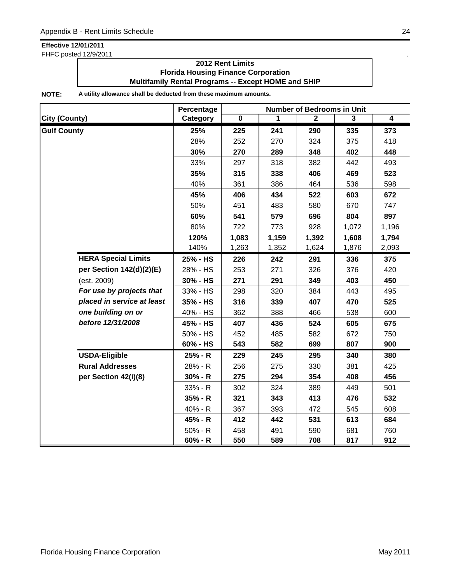FHFC posted 12/9/2011 .

### **2012 Rent Limits Florida Housing Finance Corporation Multifamily Rental Programs -- Except HOME and SHIP**

|                            | Percentage | <b>Number of Bedrooms in Unit</b> |       |              |       |                         |  |
|----------------------------|------------|-----------------------------------|-------|--------------|-------|-------------------------|--|
| <b>City (County)</b>       | Category   | $\overline{\mathbf{0}}$           | 1     | $\mathbf{2}$ | 3     | $\overline{\mathbf{4}}$ |  |
| <b>Gulf County</b>         | 25%        | 225                               | 241   | 290          | 335   | 373                     |  |
|                            | 28%        | 252                               | 270   | 324          | 375   | 418                     |  |
|                            | 30%        | 270                               | 289   | 348          | 402   | 448                     |  |
|                            | 33%        | 297                               | 318   | 382          | 442   | 493                     |  |
|                            | 35%        | 315                               | 338   | 406          | 469   | 523                     |  |
|                            | 40%        | 361                               | 386   | 464          | 536   | 598                     |  |
|                            | 45%        | 406                               | 434   | 522          | 603   | 672                     |  |
|                            | 50%        | 451                               | 483   | 580          | 670   | 747                     |  |
|                            | 60%        | 541                               | 579   | 696          | 804   | 897                     |  |
|                            | 80%        | 722                               | 773   | 928          | 1,072 | 1,196                   |  |
|                            | 120%       | 1,083                             | 1,159 | 1,392        | 1,608 | 1,794                   |  |
|                            | 140%       | 1,263                             | 1,352 | 1,624        | 1,876 | 2,093                   |  |
| <b>HERA Special Limits</b> | 25% - HS   | 226                               | 242   | 291          | 336   | 375                     |  |
| per Section 142(d)(2)(E)   | 28% - HS   | 253                               | 271   | 326          | 376   | 420                     |  |
| (est. 2009)                | 30% - HS   | 271                               | 291   | 349          | 403   | 450                     |  |
| For use by projects that   | 33% - HS   | 298                               | 320   | 384          | 443   | 495                     |  |
| placed in service at least | 35% - HS   | 316                               | 339   | 407          | 470   | 525                     |  |
| one building on or         | 40% - HS   | 362                               | 388   | 466          | 538   | 600                     |  |
| before 12/31/2008          | 45% - HS   | 407                               | 436   | 524          | 605   | 675                     |  |
|                            | 50% - HS   | 452                               | 485   | 582          | 672   | 750                     |  |
|                            | 60% - HS   | 543                               | 582   | 699          | 807   | 900                     |  |
| <b>USDA-Eligible</b>       | 25% - R    | 229                               | 245   | 295          | 340   | 380                     |  |
| <b>Rural Addresses</b>     | 28% - R    | 256                               | 275   | 330          | 381   | 425                     |  |
| per Section 42(i)(8)       | $30% - R$  | 275                               | 294   | 354          | 408   | 456                     |  |
|                            | 33% - R    | 302                               | 324   | 389          | 449   | 501                     |  |
|                            | 35% - R    | 321                               | 343   | 413          | 476   | 532                     |  |
|                            | 40% - R    | 367                               | 393   | 472          | 545   | 608                     |  |
|                            | 45% - R    | 412                               | 442   | 531          | 613   | 684                     |  |
|                            | $50% - R$  | 458                               | 491   | 590          | 681   | 760                     |  |
|                            | $60% - R$  | 550                               | 589   | 708          | 817   | 912                     |  |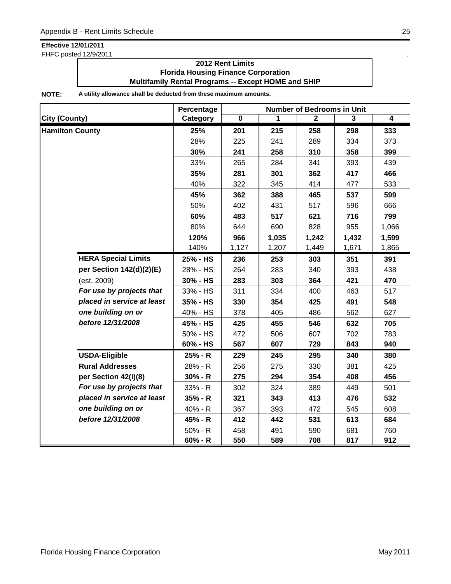FHFC posted 12/9/2011 .

### **2012 Rent Limits Florida Housing Finance Corporation Multifamily Rental Programs -- Except HOME and SHIP**

|                            | Percentage | <b>Number of Bedrooms in Unit</b> |       |                |       |                |  |
|----------------------------|------------|-----------------------------------|-------|----------------|-------|----------------|--|
| <b>City (County)</b>       | Category   | $\overline{\mathbf{0}}$           | 1     | $\overline{2}$ | 3     | $\overline{4}$ |  |
| <b>Hamilton County</b>     | 25%        | 201                               | 215   | 258            | 298   | 333            |  |
|                            | 28%        | 225                               | 241   | 289            | 334   | 373            |  |
|                            | 30%        | 241                               | 258   | 310            | 358   | 399            |  |
|                            | 33%        | 265                               | 284   | 341            | 393   | 439            |  |
|                            | 35%        | 281                               | 301   | 362            | 417   | 466            |  |
|                            | 40%        | 322                               | 345   | 414            | 477   | 533            |  |
|                            | 45%        | 362                               | 388   | 465            | 537   | 599            |  |
|                            | 50%        | 402                               | 431   | 517            | 596   | 666            |  |
|                            | 60%        | 483                               | 517   | 621            | 716   | 799            |  |
|                            | 80%        | 644                               | 690   | 828            | 955   | 1,066          |  |
|                            | 120%       | 966                               | 1,035 | 1,242          | 1,432 | 1,599          |  |
|                            | 140%       | 1,127                             | 1,207 | 1,449          | 1,671 | 1,865          |  |
| <b>HERA Special Limits</b> | 25% - HS   | 236                               | 253   | 303            | 351   | 391            |  |
| per Section 142(d)(2)(E)   | 28% - HS   | 264                               | 283   | 340            | 393   | 438            |  |
| (est. 2009)                | 30% - HS   | 283                               | 303   | 364            | 421   | 470            |  |
| For use by projects that   | 33% - HS   | 311                               | 334   | 400            | 463   | 517            |  |
| placed in service at least | 35% - HS   | 330                               | 354   | 425            | 491   | 548            |  |
| one building on or         | 40% - HS   | 378                               | 405   | 486            | 562   | 627            |  |
| before 12/31/2008          | 45% - HS   | 425                               | 455   | 546            | 632   | 705            |  |
|                            | 50% - HS   | 472                               | 506   | 607            | 702   | 783            |  |
|                            | 60% - HS   | 567                               | 607   | 729            | 843   | 940            |  |
| <b>USDA-Eligible</b>       | 25% - R    | 229                               | 245   | 295            | 340   | 380            |  |
| <b>Rural Addresses</b>     | 28% - R    | 256                               | 275   | 330            | 381   | 425            |  |
| per Section 42(i)(8)       | $30% - R$  | 275                               | 294   | 354            | 408   | 456            |  |
| For use by projects that   | 33% - R    | 302                               | 324   | 389            | 449   | 501            |  |
| placed in service at least | $35% - R$  | 321                               | 343   | 413            | 476   | 532            |  |
| one building on or         | 40% - R    | 367                               | 393   | 472            | 545   | 608            |  |
| before 12/31/2008          | 45% - R    | 412                               | 442   | 531            | 613   | 684            |  |
|                            | $50% - R$  | 458                               | 491   | 590            | 681   | 760            |  |
|                            | $60% - R$  | 550                               | 589   | 708            | 817   | 912            |  |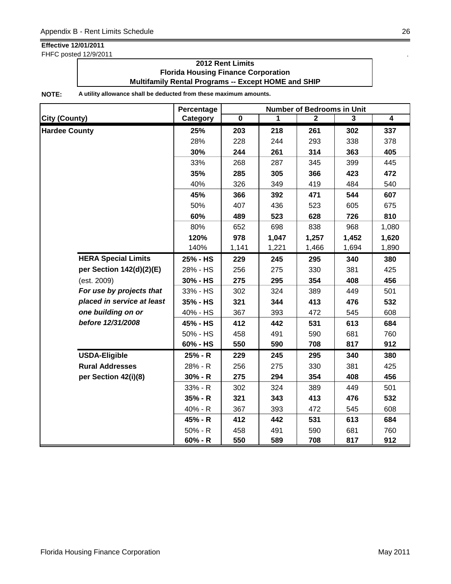FHFC posted 12/9/2011 .

### **2012 Rent Limits Florida Housing Finance Corporation Multifamily Rental Programs -- Except HOME and SHIP**

|                            | Percentage | <b>Number of Bedrooms in Unit</b> |       |                |                |                |  |
|----------------------------|------------|-----------------------------------|-------|----------------|----------------|----------------|--|
| <b>City (County)</b>       | Category   | $\overline{\mathbf{0}}$           | 1     | $\overline{2}$ | $\overline{3}$ | $\overline{4}$ |  |
| <b>Hardee County</b>       | 25%        | 203                               | 218   | 261            | 302            | 337            |  |
|                            | 28%        | 228                               | 244   | 293            | 338            | 378            |  |
|                            | 30%        | 244                               | 261   | 314            | 363            | 405            |  |
|                            | 33%        | 268                               | 287   | 345            | 399            | 445            |  |
|                            | 35%        | 285                               | 305   | 366            | 423            | 472            |  |
|                            | 40%        | 326                               | 349   | 419            | 484            | 540            |  |
|                            | 45%        | 366                               | 392   | 471            | 544            | 607            |  |
|                            | 50%        | 407                               | 436   | 523            | 605            | 675            |  |
|                            | 60%        | 489                               | 523   | 628            | 726            | 810            |  |
|                            | 80%        | 652                               | 698   | 838            | 968            | 1,080          |  |
|                            | 120%       | 978                               | 1,047 | 1,257          | 1,452          | 1,620          |  |
|                            | 140%       | 1,141                             | 1,221 | 1,466          | 1,694          | 1,890          |  |
| <b>HERA Special Limits</b> | 25% - HS   | 229                               | 245   | 295            | 340            | 380            |  |
| per Section 142(d)(2)(E)   | 28% - HS   | 256                               | 275   | 330            | 381            | 425            |  |
| (est. 2009)                | 30% - HS   | 275                               | 295   | 354            | 408            | 456            |  |
| For use by projects that   | 33% - HS   | 302                               | 324   | 389            | 449            | 501            |  |
| placed in service at least | 35% - HS   | 321                               | 344   | 413            | 476            | 532            |  |
| one building on or         | 40% - HS   | 367                               | 393   | 472            | 545            | 608            |  |
| before 12/31/2008          | 45% - HS   | 412                               | 442   | 531            | 613            | 684            |  |
|                            | 50% - HS   | 458                               | 491   | 590            | 681            | 760            |  |
|                            | 60% - HS   | 550                               | 590   | 708            | 817            | 912            |  |
| <b>USDA-Eligible</b>       | 25% - R    | 229                               | 245   | 295            | 340            | 380            |  |
| <b>Rural Addresses</b>     | 28% - R    | 256                               | 275   | 330            | 381            | 425            |  |
| per Section 42(i)(8)       | $30% - R$  | 275                               | 294   | 354            | 408            | 456            |  |
|                            | 33% - R    | 302                               | 324   | 389            | 449            | 501            |  |
|                            | $35% - R$  | 321                               | 343   | 413            | 476            | 532            |  |
|                            | 40% - R    | 367                               | 393   | 472            | 545            | 608            |  |
|                            | 45% - R    | 412                               | 442   | 531            | 613            | 684            |  |
|                            | $50% - R$  | 458                               | 491   | 590            | 681            | 760            |  |
|                            | $60% - R$  | 550                               | 589   | 708            | 817            | 912            |  |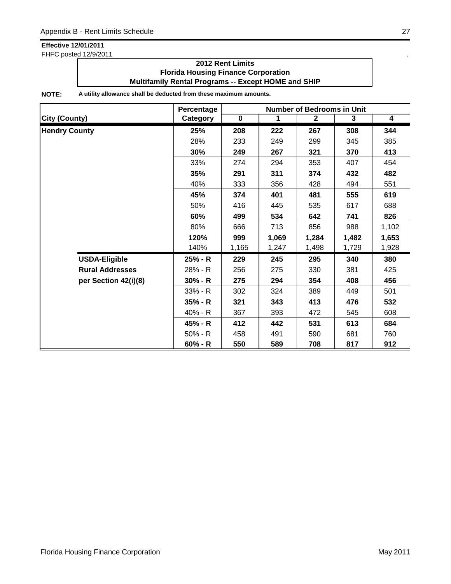FHFC posted 12/9/2011 .

### **2012 Rent Limits Florida Housing Finance Corporation Multifamily Rental Programs -- Except HOME and SHIP**

|                        | Percentage<br><b>Number of Bedrooms in Unit</b> |           |             |                |       |                         |
|------------------------|-------------------------------------------------|-----------|-------------|----------------|-------|-------------------------|
| <b>City (County)</b>   | Category                                        | $\pmb{0}$ | $\mathbf 1$ | $\overline{2}$ | 3     | $\overline{\mathbf{4}}$ |
| <b>Hendry County</b>   | 25%                                             | 208       | 222         | 267            | 308   | 344                     |
|                        | 28%                                             | 233       | 249         | 299            | 345   | 385                     |
|                        | 30%                                             | 249       | 267         | 321            | 370   | 413                     |
|                        | 33%                                             | 274       | 294         | 353            | 407   | 454                     |
|                        | 35%                                             | 291       | 311         | 374            | 432   | 482                     |
|                        | 40%                                             | 333       | 356         | 428            | 494   | 551                     |
|                        | 45%                                             | 374       | 401         | 481            | 555   | 619                     |
|                        | 50%                                             | 416       | 445         | 535            | 617   | 688                     |
|                        | 60%                                             | 499       | 534         | 642            | 741   | 826                     |
|                        | 80%                                             | 666       | 713         | 856            | 988   | 1,102                   |
|                        | 120%                                            | 999       | 1,069       | 1,284          | 1,482 | 1,653                   |
|                        | 140%                                            | 1,165     | 1,247       | 1,498          | 1,729 | 1,928                   |
| <b>USDA-Eligible</b>   | 25% - R                                         | 229       | 245         | 295            | 340   | 380                     |
| <b>Rural Addresses</b> | 28% - R                                         | 256       | 275         | 330            | 381   | 425                     |
| per Section 42(i)(8)   | $30% - R$                                       | 275       | 294         | 354            | 408   | 456                     |
|                        | 33% - R                                         | 302       | 324         | 389            | 449   | 501                     |
|                        | $35% - R$                                       | 321       | 343         | 413            | 476   | 532                     |
|                        | 40% - R                                         | 367       | 393         | 472            | 545   | 608                     |
|                        | 45% - R                                         | 412       | 442         | 531            | 613   | 684                     |
|                        | $50% - R$                                       | 458       | 491         | 590            | 681   | 760                     |
|                        | $60% - R$                                       | 550       | 589         | 708            | 817   | 912                     |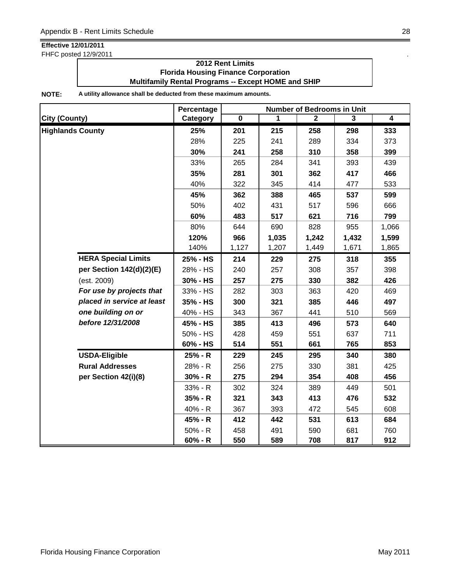FHFC posted 12/9/2011 .

### **2012 Rent Limits Florida Housing Finance Corporation Multifamily Rental Programs -- Except HOME and SHIP**

|                            | Percentage | <b>Number of Bedrooms in Unit</b> |       |              |       |                |  |
|----------------------------|------------|-----------------------------------|-------|--------------|-------|----------------|--|
| <b>City (County)</b>       | Category   | $\overline{\mathbf{0}}$           | 1     | $\mathbf{2}$ | 3     | $\overline{4}$ |  |
| <b>Highlands County</b>    | 25%        | 201                               | 215   | 258          | 298   | 333            |  |
|                            | 28%        | 225                               | 241   | 289          | 334   | 373            |  |
|                            | 30%        | 241                               | 258   | 310          | 358   | 399            |  |
|                            | 33%        | 265                               | 284   | 341          | 393   | 439            |  |
|                            | 35%        | 281                               | 301   | 362          | 417   | 466            |  |
|                            | 40%        | 322                               | 345   | 414          | 477   | 533            |  |
|                            | 45%        | 362                               | 388   | 465          | 537   | 599            |  |
|                            | 50%        | 402                               | 431   | 517          | 596   | 666            |  |
|                            | 60%        | 483                               | 517   | 621          | 716   | 799            |  |
|                            | 80%        | 644                               | 690   | 828          | 955   | 1,066          |  |
|                            | 120%       | 966                               | 1,035 | 1,242        | 1,432 | 1,599          |  |
|                            | 140%       | 1,127                             | 1,207 | 1,449        | 1,671 | 1,865          |  |
| <b>HERA Special Limits</b> | 25% - HS   | 214                               | 229   | 275          | 318   | 355            |  |
| per Section 142(d)(2)(E)   | 28% - HS   | 240                               | 257   | 308          | 357   | 398            |  |
| (est. 2009)                | 30% - HS   | 257                               | 275   | 330          | 382   | 426            |  |
| For use by projects that   | 33% - HS   | 282                               | 303   | 363          | 420   | 469            |  |
| placed in service at least | 35% - HS   | 300                               | 321   | 385          | 446   | 497            |  |
| one building on or         | 40% - HS   | 343                               | 367   | 441          | 510   | 569            |  |
| before 12/31/2008          | 45% - HS   | 385                               | 413   | 496          | 573   | 640            |  |
|                            | 50% - HS   | 428                               | 459   | 551          | 637   | 711            |  |
|                            | 60% - HS   | 514                               | 551   | 661          | 765   | 853            |  |
| <b>USDA-Eligible</b>       | 25% - R    | 229                               | 245   | 295          | 340   | 380            |  |
| <b>Rural Addresses</b>     | 28% - R    | 256                               | 275   | 330          | 381   | 425            |  |
| per Section 42(i)(8)       | $30% - R$  | 275                               | 294   | 354          | 408   | 456            |  |
|                            | 33% - R    | 302                               | 324   | 389          | 449   | 501            |  |
|                            | $35% - R$  | 321                               | 343   | 413          | 476   | 532            |  |
|                            | 40% - R    | 367                               | 393   | 472          | 545   | 608            |  |
|                            | 45% - R    | 412                               | 442   | 531          | 613   | 684            |  |
|                            | $50% - R$  | 458                               | 491   | 590          | 681   | 760            |  |
|                            | $60% - R$  | 550                               | 589   | 708          | 817   | 912            |  |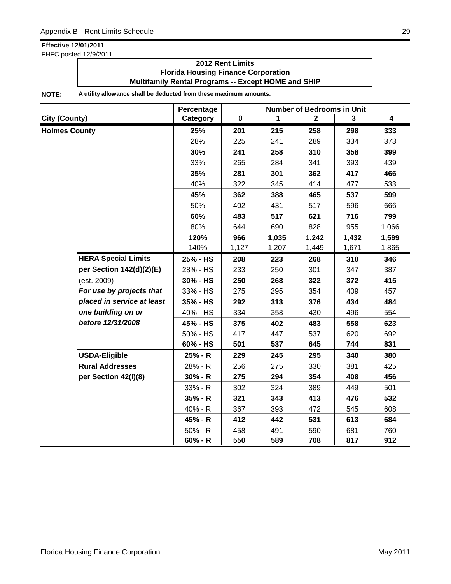FHFC posted 12/9/2011 .

### **2012 Rent Limits Florida Housing Finance Corporation Multifamily Rental Programs -- Except HOME and SHIP**

|                            | Percentage | <b>Number of Bedrooms in Unit</b> |       |                |       |                         |  |
|----------------------------|------------|-----------------------------------|-------|----------------|-------|-------------------------|--|
| <b>City (County)</b>       | Category   | $\overline{\mathbf{0}}$           | 1     | $\overline{2}$ | 3     | $\overline{\mathbf{4}}$ |  |
| <b>Holmes County</b>       | 25%        | 201                               | 215   | 258            | 298   | 333                     |  |
|                            | 28%        | 225                               | 241   | 289            | 334   | 373                     |  |
|                            | 30%        | 241                               | 258   | 310            | 358   | 399                     |  |
|                            | 33%        | 265                               | 284   | 341            | 393   | 439                     |  |
|                            | 35%        | 281                               | 301   | 362            | 417   | 466                     |  |
|                            | 40%        | 322                               | 345   | 414            | 477   | 533                     |  |
|                            | 45%        | 362                               | 388   | 465            | 537   | 599                     |  |
|                            | 50%        | 402                               | 431   | 517            | 596   | 666                     |  |
|                            | 60%        | 483                               | 517   | 621            | 716   | 799                     |  |
|                            | 80%        | 644                               | 690   | 828            | 955   | 1,066                   |  |
|                            | 120%       | 966                               | 1,035 | 1,242          | 1,432 | 1,599                   |  |
|                            | 140%       | 1,127                             | 1,207 | 1,449          | 1,671 | 1,865                   |  |
| <b>HERA Special Limits</b> | 25% - HS   | 208                               | 223   | 268            | 310   | 346                     |  |
| per Section 142(d)(2)(E)   | 28% - HS   | 233                               | 250   | 301            | 347   | 387                     |  |
| (est. 2009)                | 30% - HS   | 250                               | 268   | 322            | 372   | 415                     |  |
| For use by projects that   | 33% - HS   | 275                               | 295   | 354            | 409   | 457                     |  |
| placed in service at least | 35% - HS   | 292                               | 313   | 376            | 434   | 484                     |  |
| one building on or         | 40% - HS   | 334                               | 358   | 430            | 496   | 554                     |  |
| before 12/31/2008          | 45% - HS   | 375                               | 402   | 483            | 558   | 623                     |  |
|                            | 50% - HS   | 417                               | 447   | 537            | 620   | 692                     |  |
|                            | 60% - HS   | 501                               | 537   | 645            | 744   | 831                     |  |
| <b>USDA-Eligible</b>       | 25% - R    | 229                               | 245   | 295            | 340   | 380                     |  |
| <b>Rural Addresses</b>     | 28% - R    | 256                               | 275   | 330            | 381   | 425                     |  |
| per Section 42(i)(8)       | $30% - R$  | 275                               | 294   | 354            | 408   | 456                     |  |
|                            | 33% - R    | 302                               | 324   | 389            | 449   | 501                     |  |
|                            | $35% - R$  | 321                               | 343   | 413            | 476   | 532                     |  |
|                            | 40% - R    | 367                               | 393   | 472            | 545   | 608                     |  |
|                            | 45% - R    | 412                               | 442   | 531            | 613   | 684                     |  |
|                            | $50% - R$  | 458                               | 491   | 590            | 681   | 760                     |  |
|                            | $60% - R$  | 550                               | 589   | 708            | 817   | 912                     |  |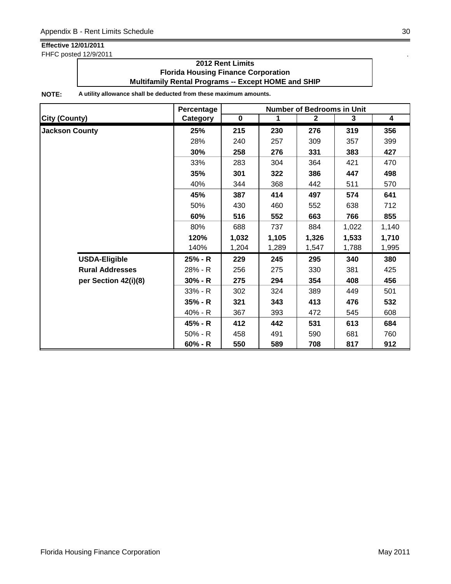FHFC posted 12/9/2011 .

### **2012 Rent Limits Florida Housing Finance Corporation Multifamily Rental Programs -- Except HOME and SHIP**

|                        | Percentage |           |             | <b>Number of Bedrooms in Unit</b> |       |                         |
|------------------------|------------|-----------|-------------|-----------------------------------|-------|-------------------------|
| <b>City (County)</b>   | Category   | $\pmb{0}$ | $\mathbf 1$ | $\mathbf{2}$                      | 3     | $\overline{\mathbf{4}}$ |
| <b>Jackson County</b>  | 25%        | 215       | 230         | 276                               | 319   | 356                     |
|                        | 28%        | 240       | 257         | 309                               | 357   | 399                     |
|                        | 30%        | 258       | 276         | 331                               | 383   | 427                     |
|                        | 33%        | 283       | 304         | 364                               | 421   | 470                     |
|                        | 35%        | 301       | 322         | 386                               | 447   | 498                     |
|                        | 40%        | 344       | 368         | 442                               | 511   | 570                     |
|                        | 45%        | 387       | 414         | 497                               | 574   | 641                     |
|                        | 50%        | 430       | 460         | 552                               | 638   | 712                     |
|                        | 60%        | 516       | 552         | 663                               | 766   | 855                     |
|                        | 80%        | 688       | 737         | 884                               | 1,022 | 1,140                   |
|                        | 120%       | 1,032     | 1,105       | 1,326                             | 1,533 | 1,710                   |
|                        | 140%       | 1,204     | 1,289       | 1,547                             | 1,788 | 1,995                   |
| <b>USDA-Eligible</b>   | 25% - R    | 229       | 245         | 295                               | 340   | 380                     |
| <b>Rural Addresses</b> | 28% - R    | 256       | 275         | 330                               | 381   | 425                     |
| per Section 42(i)(8)   | $30% - R$  | 275       | 294         | 354                               | 408   | 456                     |
|                        | $33% - R$  | 302       | 324         | 389                               | 449   | 501                     |
|                        | $35% - R$  | 321       | 343         | 413                               | 476   | 532                     |
|                        | $40% - R$  | 367       | 393         | 472                               | 545   | 608                     |
|                        | 45% - R    | 412       | 442         | 531                               | 613   | 684                     |
|                        | $50% - R$  | 458       | 491         | 590                               | 681   | 760                     |
|                        | 60% - R    | 550       | 589         | 708                               | 817   | 912                     |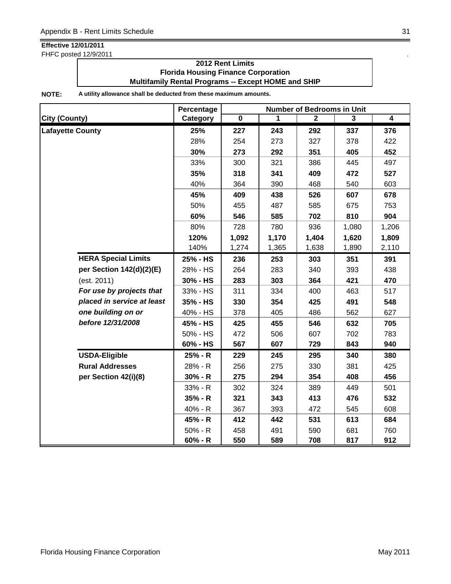FHFC posted 12/9/2011 .

### **2012 Rent Limits Florida Housing Finance Corporation Multifamily Rental Programs -- Except HOME and SHIP**

|                            | Percentage | <b>Number of Bedrooms in Unit</b> |       |              |                         |                |  |
|----------------------------|------------|-----------------------------------|-------|--------------|-------------------------|----------------|--|
| <b>City (County)</b>       | Category   | $\overline{\mathbf{0}}$           | 1     | $\mathbf{2}$ | $\overline{\mathbf{3}}$ | $\overline{4}$ |  |
| <b>Lafayette County</b>    | 25%        | 227                               | 243   | 292          | 337                     | 376            |  |
|                            | 28%        | 254                               | 273   | 327          | 378                     | 422            |  |
|                            | 30%        | 273                               | 292   | 351          | 405                     | 452            |  |
|                            | 33%        | 300                               | 321   | 386          | 445                     | 497            |  |
|                            | 35%        | 318                               | 341   | 409          | 472                     | 527            |  |
|                            | 40%        | 364                               | 390   | 468          | 540                     | 603            |  |
|                            | 45%        | 409                               | 438   | 526          | 607                     | 678            |  |
|                            | 50%        | 455                               | 487   | 585          | 675                     | 753            |  |
|                            | 60%        | 546                               | 585   | 702          | 810                     | 904            |  |
|                            | 80%        | 728                               | 780   | 936          | 1,080                   | 1,206          |  |
|                            | 120%       | 1,092                             | 1,170 | 1,404        | 1,620                   | 1,809          |  |
|                            | 140%       | 1,274                             | 1,365 | 1,638        | 1,890                   | 2,110          |  |
| <b>HERA Special Limits</b> | 25% - HS   | 236                               | 253   | 303          | 351                     | 391            |  |
| per Section 142(d)(2)(E)   | 28% - HS   | 264                               | 283   | 340          | 393                     | 438            |  |
| (est. 2011)                | 30% - HS   | 283                               | 303   | 364          | 421                     | 470            |  |
| For use by projects that   | 33% - HS   | 311                               | 334   | 400          | 463                     | 517            |  |
| placed in service at least | 35% - HS   | 330                               | 354   | 425          | 491                     | 548            |  |
| one building on or         | 40% - HS   | 378                               | 405   | 486          | 562                     | 627            |  |
| before 12/31/2008          | 45% - HS   | 425                               | 455   | 546          | 632                     | 705            |  |
|                            | 50% - HS   | 472                               | 506   | 607          | 702                     | 783            |  |
|                            | 60% - HS   | 567                               | 607   | 729          | 843                     | 940            |  |
| <b>USDA-Eligible</b>       | 25% - R    | 229                               | 245   | 295          | 340                     | 380            |  |
| <b>Rural Addresses</b>     | 28% - R    | 256                               | 275   | 330          | 381                     | 425            |  |
| per Section 42(i)(8)       | $30% - R$  | 275                               | 294   | 354          | 408                     | 456            |  |
|                            | 33% - R    | 302                               | 324   | 389          | 449                     | 501            |  |
|                            | $35% - R$  | 321                               | 343   | 413          | 476                     | 532            |  |
|                            | 40% - R    | 367                               | 393   | 472          | 545                     | 608            |  |
|                            | 45% - R    | 412                               | 442   | 531          | 613                     | 684            |  |
|                            | $50% - R$  | 458                               | 491   | 590          | 681                     | 760            |  |
|                            | $60% - R$  | 550                               | 589   | 708          | 817                     | 912            |  |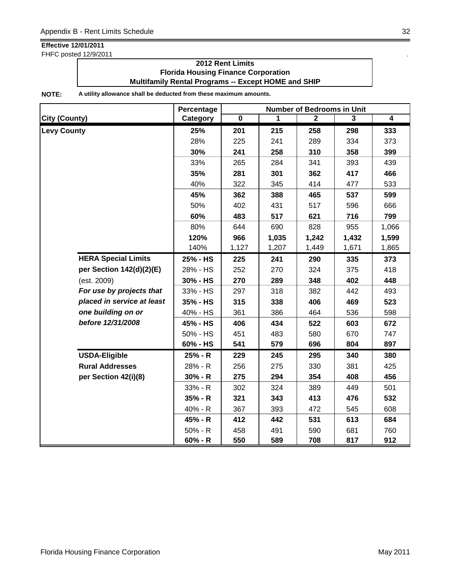FHFC posted 12/9/2011 .

### **2012 Rent Limits Florida Housing Finance Corporation Multifamily Rental Programs -- Except HOME and SHIP**

|                            | Percentage | <b>Number of Bedrooms in Unit</b> |       |                |       |                         |  |
|----------------------------|------------|-----------------------------------|-------|----------------|-------|-------------------------|--|
| <b>City (County)</b>       | Category   | $\overline{\mathbf{0}}$           | 1     | $\overline{2}$ | 3     | $\overline{\mathbf{4}}$ |  |
| <b>Levy County</b>         | 25%        | 201                               | 215   | 258            | 298   | 333                     |  |
|                            | 28%        | 225                               | 241   | 289            | 334   | 373                     |  |
|                            | 30%        | 241                               | 258   | 310            | 358   | 399                     |  |
|                            | 33%        | 265                               | 284   | 341            | 393   | 439                     |  |
|                            | 35%        | 281                               | 301   | 362            | 417   | 466                     |  |
|                            | 40%        | 322                               | 345   | 414            | 477   | 533                     |  |
|                            | 45%        | 362                               | 388   | 465            | 537   | 599                     |  |
|                            | 50%        | 402                               | 431   | 517            | 596   | 666                     |  |
|                            | 60%        | 483                               | 517   | 621            | 716   | 799                     |  |
|                            | 80%        | 644                               | 690   | 828            | 955   | 1,066                   |  |
|                            | 120%       | 966                               | 1,035 | 1,242          | 1,432 | 1,599                   |  |
|                            | 140%       | 1,127                             | 1,207 | 1,449          | 1,671 | 1,865                   |  |
| <b>HERA Special Limits</b> | 25% - HS   | 225                               | 241   | 290            | 335   | 373                     |  |
| per Section 142(d)(2)(E)   | 28% - HS   | 252                               | 270   | 324            | 375   | 418                     |  |
| (est. 2009)                | 30% - HS   | 270                               | 289   | 348            | 402   | 448                     |  |
| For use by projects that   | 33% - HS   | 297                               | 318   | 382            | 442   | 493                     |  |
| placed in service at least | 35% - HS   | 315                               | 338   | 406            | 469   | 523                     |  |
| one building on or         | 40% - HS   | 361                               | 386   | 464            | 536   | 598                     |  |
| before 12/31/2008          | 45% - HS   | 406                               | 434   | 522            | 603   | 672                     |  |
|                            | 50% - HS   | 451                               | 483   | 580            | 670   | 747                     |  |
|                            | 60% - HS   | 541                               | 579   | 696            | 804   | 897                     |  |
| <b>USDA-Eligible</b>       | 25% - R    | 229                               | 245   | 295            | 340   | 380                     |  |
| <b>Rural Addresses</b>     | 28% - R    | 256                               | 275   | 330            | 381   | 425                     |  |
| per Section 42(i)(8)       | $30% - R$  | 275                               | 294   | 354            | 408   | 456                     |  |
|                            | 33% - R    | 302                               | 324   | 389            | 449   | 501                     |  |
|                            | $35% - R$  | 321                               | 343   | 413            | 476   | 532                     |  |
|                            | 40% - R    | 367                               | 393   | 472            | 545   | 608                     |  |
|                            | 45% - R    | 412                               | 442   | 531            | 613   | 684                     |  |
|                            | 50% - R    | 458                               | 491   | 590            | 681   | 760                     |  |
|                            | $60% - R$  | 550                               | 589   | 708            | 817   | 912                     |  |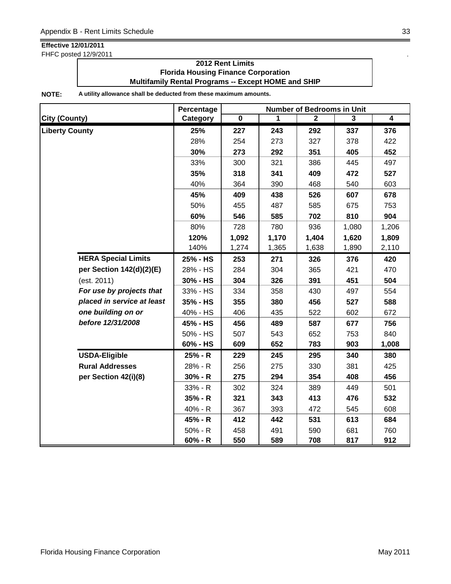FHFC posted 12/9/2011 .

### **2012 Rent Limits Florida Housing Finance Corporation Multifamily Rental Programs -- Except HOME and SHIP**

|                            | Percentage | <b>Number of Bedrooms in Unit</b> |       |              |                |                |  |
|----------------------------|------------|-----------------------------------|-------|--------------|----------------|----------------|--|
| <b>City (County)</b>       | Category   | $\overline{\mathbf{0}}$           | 1     | $\mathbf{2}$ | $\overline{3}$ | $\overline{4}$ |  |
| <b>Liberty County</b>      | 25%        | 227                               | 243   | 292          | 337            | 376            |  |
|                            | 28%        | 254                               | 273   | 327          | 378            | 422            |  |
|                            | 30%        | 273                               | 292   | 351          | 405            | 452            |  |
|                            | 33%        | 300                               | 321   | 386          | 445            | 497            |  |
|                            | 35%        | 318                               | 341   | 409          | 472            | 527            |  |
|                            | 40%        | 364                               | 390   | 468          | 540            | 603            |  |
|                            | 45%        | 409                               | 438   | 526          | 607            | 678            |  |
|                            | 50%        | 455                               | 487   | 585          | 675            | 753            |  |
|                            | 60%        | 546                               | 585   | 702          | 810            | 904            |  |
|                            | 80%        | 728                               | 780   | 936          | 1,080          | 1,206          |  |
|                            | 120%       | 1,092                             | 1,170 | 1,404        | 1,620          | 1,809          |  |
|                            | 140%       | 1,274                             | 1,365 | 1,638        | 1,890          | 2,110          |  |
| <b>HERA Special Limits</b> | 25% - HS   | 253                               | 271   | 326          | 376            | 420            |  |
| per Section 142(d)(2)(E)   | 28% - HS   | 284                               | 304   | 365          | 421            | 470            |  |
| (est. 2011)                | 30% - HS   | 304                               | 326   | 391          | 451            | 504            |  |
| For use by projects that   | 33% - HS   | 334                               | 358   | 430          | 497            | 554            |  |
| placed in service at least | 35% - HS   | 355                               | 380   | 456          | 527            | 588            |  |
| one building on or         | 40% - HS   | 406                               | 435   | 522          | 602            | 672            |  |
| before 12/31/2008          | 45% - HS   | 456                               | 489   | 587          | 677            | 756            |  |
|                            | 50% - HS   | 507                               | 543   | 652          | 753            | 840            |  |
|                            | 60% - HS   | 609                               | 652   | 783          | 903            | 1,008          |  |
| <b>USDA-Eligible</b>       | 25% - R    | 229                               | 245   | 295          | 340            | 380            |  |
| <b>Rural Addresses</b>     | 28% - R    | 256                               | 275   | 330          | 381            | 425            |  |
| per Section 42(i)(8)       | $30% - R$  | 275                               | 294   | 354          | 408            | 456            |  |
|                            | 33% - R    | 302                               | 324   | 389          | 449            | 501            |  |
|                            | $35% - R$  | 321                               | 343   | 413          | 476            | 532            |  |
|                            | 40% - R    | 367                               | 393   | 472          | 545            | 608            |  |
|                            | 45% - R    | 412                               | 442   | 531          | 613            | 684            |  |
|                            | $50% - R$  | 458                               | 491   | 590          | 681            | 760            |  |
|                            | $60% - R$  | 550                               | 589   | 708          | 817            | 912            |  |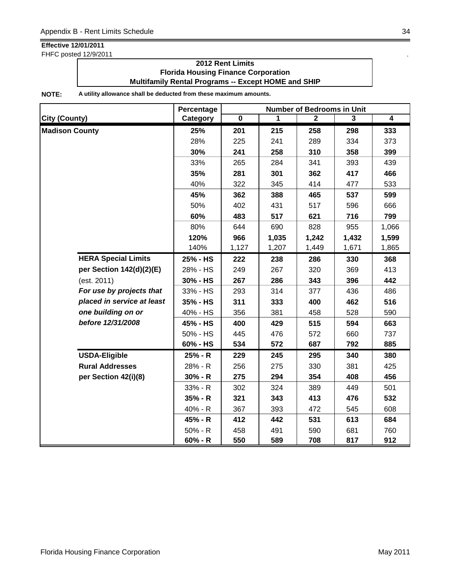FHFC posted 12/9/2011 .

### **2012 Rent Limits Florida Housing Finance Corporation Multifamily Rental Programs -- Except HOME and SHIP**

|                            | Percentage | <b>Number of Bedrooms in Unit</b> |       |                |       |                |  |
|----------------------------|------------|-----------------------------------|-------|----------------|-------|----------------|--|
| <b>City (County)</b>       | Category   | $\overline{\mathbf{0}}$           | 1     | $\overline{2}$ | 3     | $\overline{4}$ |  |
| <b>Madison County</b>      | 25%        | 201                               | 215   | 258            | 298   | 333            |  |
|                            | 28%        | 225                               | 241   | 289            | 334   | 373            |  |
|                            | 30%        | 241                               | 258   | 310            | 358   | 399            |  |
|                            | 33%        | 265                               | 284   | 341            | 393   | 439            |  |
|                            | 35%        | 281                               | 301   | 362            | 417   | 466            |  |
|                            | 40%        | 322                               | 345   | 414            | 477   | 533            |  |
|                            | 45%        | 362                               | 388   | 465            | 537   | 599            |  |
|                            | 50%        | 402                               | 431   | 517            | 596   | 666            |  |
|                            | 60%        | 483                               | 517   | 621            | 716   | 799            |  |
|                            | 80%        | 644                               | 690   | 828            | 955   | 1,066          |  |
|                            | 120%       | 966                               | 1,035 | 1,242          | 1,432 | 1,599          |  |
|                            | 140%       | 1,127                             | 1,207 | 1,449          | 1,671 | 1,865          |  |
| <b>HERA Special Limits</b> | 25% - HS   | 222                               | 238   | 286            | 330   | 368            |  |
| per Section 142(d)(2)(E)   | 28% - HS   | 249                               | 267   | 320            | 369   | 413            |  |
| (est. 2011)                | 30% - HS   | 267                               | 286   | 343            | 396   | 442            |  |
| For use by projects that   | 33% - HS   | 293                               | 314   | 377            | 436   | 486            |  |
| placed in service at least | 35% - HS   | 311                               | 333   | 400            | 462   | 516            |  |
| one building on or         | 40% - HS   | 356                               | 381   | 458            | 528   | 590            |  |
| before 12/31/2008          | 45% - HS   | 400                               | 429   | 515            | 594   | 663            |  |
|                            | 50% - HS   | 445                               | 476   | 572            | 660   | 737            |  |
|                            | 60% - HS   | 534                               | 572   | 687            | 792   | 885            |  |
| <b>USDA-Eligible</b>       | 25% - R    | 229                               | 245   | 295            | 340   | 380            |  |
| <b>Rural Addresses</b>     | 28% - R    | 256                               | 275   | 330            | 381   | 425            |  |
| per Section 42(i)(8)       | $30% - R$  | 275                               | 294   | 354            | 408   | 456            |  |
|                            | 33% - R    | 302                               | 324   | 389            | 449   | 501            |  |
|                            | $35% - R$  | 321                               | 343   | 413            | 476   | 532            |  |
|                            | 40% - R    | 367                               | 393   | 472            | 545   | 608            |  |
|                            | 45% - R    | 412                               | 442   | 531            | 613   | 684            |  |
|                            | $50% - R$  | 458                               | 491   | 590            | 681   | 760            |  |
|                            | $60% - R$  | 550                               | 589   | 708            | 817   | 912            |  |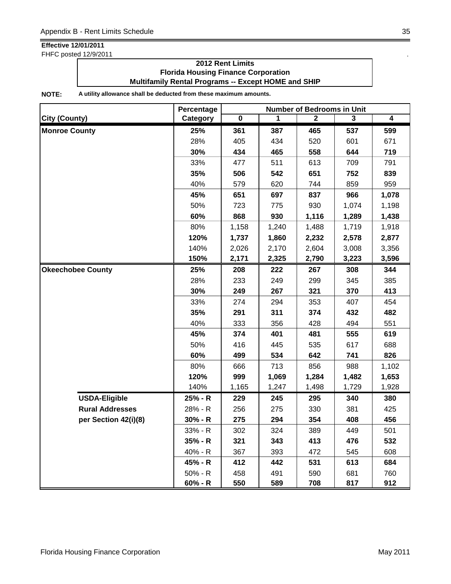FHFC posted 12/9/2011 .

### **2012 Rent Limits Florida Housing Finance Corporation Multifamily Rental Programs -- Except HOME and SHIP**

|                          | Percentage | <b>Number of Bedrooms in Unit</b> |       |              |                         |       |  |
|--------------------------|------------|-----------------------------------|-------|--------------|-------------------------|-------|--|
| <b>City (County)</b>     | Category   | $\overline{\mathbf{0}}$           | 1     | $\mathbf{2}$ | $\overline{\mathbf{3}}$ | 4     |  |
| <b>Monroe County</b>     | 25%        | 361                               | 387   | 465          | 537                     | 599   |  |
|                          | 28%        | 405                               | 434   | 520          | 601                     | 671   |  |
|                          | 30%        | 434                               | 465   | 558          | 644                     | 719   |  |
|                          | 33%        | 477                               | 511   | 613          | 709                     | 791   |  |
|                          | 35%        | 506                               | 542   | 651          | 752                     | 839   |  |
|                          | 40%        | 579                               | 620   | 744          | 859                     | 959   |  |
|                          | 45%        | 651                               | 697   | 837          | 966                     | 1,078 |  |
|                          | 50%        | 723                               | 775   | 930          | 1,074                   | 1,198 |  |
|                          | 60%        | 868                               | 930   | 1,116        | 1,289                   | 1,438 |  |
|                          | 80%        | 1,158                             | 1,240 | 1,488        | 1,719                   | 1,918 |  |
|                          | 120%       | 1,737                             | 1,860 | 2,232        | 2,578                   | 2,877 |  |
|                          | 140%       | 2,026                             | 2,170 | 2,604        | 3,008                   | 3,356 |  |
|                          | 150%       | 2,171                             | 2,325 | 2,790        | 3,223                   | 3,596 |  |
| <b>Okeechobee County</b> | 25%        | 208                               | 222   | 267          | 308                     | 344   |  |
|                          | 28%        | 233                               | 249   | 299          | 345                     | 385   |  |
|                          | 30%        | 249                               | 267   | 321          | 370                     | 413   |  |
|                          | 33%        | 274                               | 294   | 353          | 407                     | 454   |  |
|                          | 35%        | 291                               | 311   | 374          | 432                     | 482   |  |
|                          | 40%        | 333                               | 356   | 428          | 494                     | 551   |  |
|                          | 45%        | 374                               | 401   | 481          | 555                     | 619   |  |
|                          | 50%        | 416                               | 445   | 535          | 617                     | 688   |  |
|                          | 60%        | 499                               | 534   | 642          | 741                     | 826   |  |
|                          | 80%        | 666                               | 713   | 856          | 988                     | 1,102 |  |
|                          | 120%       | 999                               | 1,069 | 1,284        | 1,482                   | 1,653 |  |
|                          | 140%       | 1,165                             | 1,247 | 1,498        | 1,729                   | 1,928 |  |
| <b>USDA-Eligible</b>     | 25% - R    | 229                               | 245   | 295          | 340                     | 380   |  |
| <b>Rural Addresses</b>   | 28% - R    | 256                               | 275   | 330          | 381                     | 425   |  |
| per Section 42(i)(8)     | $30% - R$  | 275                               | 294   | 354          | 408                     | 456   |  |
|                          | 33% - R    | 302                               | 324   | 389          | 449                     | 501   |  |
|                          | 35% - R    | 321                               | 343   | 413          | 476                     | 532   |  |
|                          | 40% - R    | 367                               | 393   | 472          | 545                     | 608   |  |
|                          | 45% - R    | 412                               | 442   | 531          | 613                     | 684   |  |
|                          | $50% - R$  | 458                               | 491   | 590          | 681                     | 760   |  |
|                          | 60% - R    | 550                               | 589   | 708          | 817                     | 912   |  |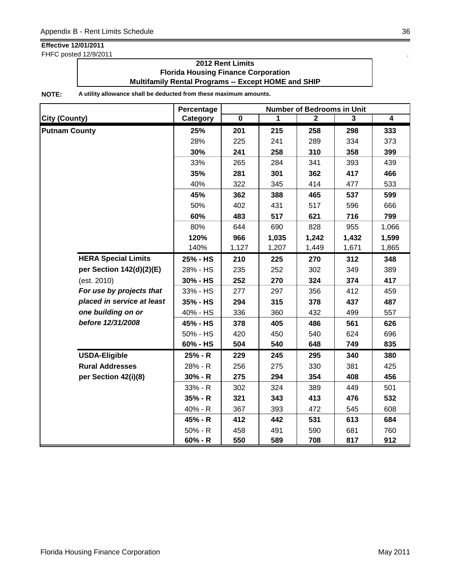FHFC posted 12/9/2011 .

### **2012 Rent Limits Florida Housing Finance Corporation Multifamily Rental Programs -- Except HOME and SHIP**

|                            | Percentage | <b>Number of Bedrooms in Unit</b> |       |                |       |                |  |
|----------------------------|------------|-----------------------------------|-------|----------------|-------|----------------|--|
| <b>City (County)</b>       | Category   | $\overline{\mathbf{0}}$           | 1     | $\overline{2}$ | 3     | $\overline{4}$ |  |
| <b>Putnam County</b>       | 25%        | 201                               | 215   | 258            | 298   | 333            |  |
|                            | 28%        | 225                               | 241   | 289            | 334   | 373            |  |
|                            | 30%        | 241                               | 258   | 310            | 358   | 399            |  |
|                            | 33%        | 265                               | 284   | 341            | 393   | 439            |  |
|                            | 35%        | 281                               | 301   | 362            | 417   | 466            |  |
|                            | 40%        | 322                               | 345   | 414            | 477   | 533            |  |
|                            | 45%        | 362                               | 388   | 465            | 537   | 599            |  |
|                            | 50%        | 402                               | 431   | 517            | 596   | 666            |  |
|                            | 60%        | 483                               | 517   | 621            | 716   | 799            |  |
|                            | 80%        | 644                               | 690   | 828            | 955   | 1,066          |  |
|                            | 120%       | 966                               | 1,035 | 1,242          | 1,432 | 1,599          |  |
|                            | 140%       | 1,127                             | 1,207 | 1,449          | 1,671 | 1,865          |  |
| <b>HERA Special Limits</b> | 25% - HS   | 210                               | 225   | 270            | 312   | 348            |  |
| per Section 142(d)(2)(E)   | 28% - HS   | 235                               | 252   | 302            | 349   | 389            |  |
| (est. 2010)                | 30% - HS   | 252                               | 270   | 324            | 374   | 417            |  |
| For use by projects that   | 33% - HS   | 277                               | 297   | 356            | 412   | 459            |  |
| placed in service at least | 35% - HS   | 294                               | 315   | 378            | 437   | 487            |  |
| one building on or         | 40% - HS   | 336                               | 360   | 432            | 499   | 557            |  |
| before 12/31/2008          | 45% - HS   | 378                               | 405   | 486            | 561   | 626            |  |
|                            | 50% - HS   | 420                               | 450   | 540            | 624   | 696            |  |
|                            | 60% - HS   | 504                               | 540   | 648            | 749   | 835            |  |
| <b>USDA-Eligible</b>       | 25% - R    | 229                               | 245   | 295            | 340   | 380            |  |
| <b>Rural Addresses</b>     | 28% - R    | 256                               | 275   | 330            | 381   | 425            |  |
| per Section 42(i)(8)       | $30% - R$  | 275                               | 294   | 354            | 408   | 456            |  |
|                            | 33% - R    | 302                               | 324   | 389            | 449   | 501            |  |
|                            | $35% - R$  | 321                               | 343   | 413            | 476   | 532            |  |
|                            | 40% - R    | 367                               | 393   | 472            | 545   | 608            |  |
|                            | 45% - R    | 412                               | 442   | 531            | 613   | 684            |  |
|                            | $50% - R$  | 458                               | 491   | 590            | 681   | 760            |  |
|                            | $60% - R$  | 550                               | 589   | 708            | 817   | 912            |  |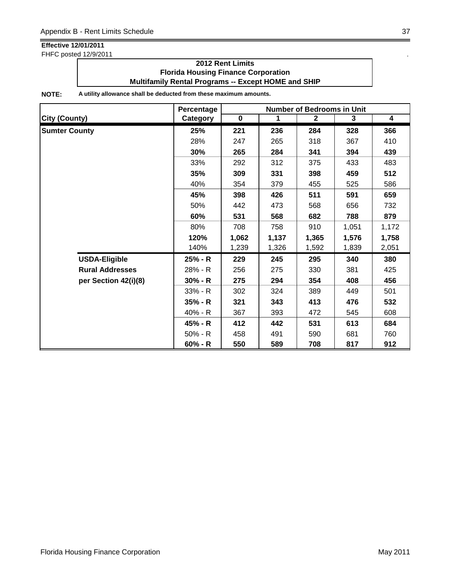FHFC posted 12/9/2011 .

### **2012 Rent Limits Florida Housing Finance Corporation Multifamily Rental Programs -- Except HOME and SHIP**

|                        | Percentage<br><b>Number of Bedrooms in Unit</b> |             |       |              |       |                         |
|------------------------|-------------------------------------------------|-------------|-------|--------------|-------|-------------------------|
| <b>City (County)</b>   | Category                                        | $\mathbf 0$ | 1     | $\mathbf{2}$ | 3     | $\overline{\mathbf{4}}$ |
| <b>Sumter County</b>   | 25%                                             | 221         | 236   | 284          | 328   | 366                     |
|                        | 28%                                             | 247         | 265   | 318          | 367   | 410                     |
|                        | 30%                                             | 265         | 284   | 341          | 394   | 439                     |
|                        | 33%                                             | 292         | 312   | 375          | 433   | 483                     |
|                        | 35%                                             | 309         | 331   | 398          | 459   | 512                     |
|                        | 40%                                             | 354         | 379   | 455          | 525   | 586                     |
|                        | 45%                                             | 398         | 426   | 511          | 591   | 659                     |
|                        | 50%                                             | 442         | 473   | 568          | 656   | 732                     |
|                        | 60%                                             | 531         | 568   | 682          | 788   | 879                     |
|                        | 80%                                             | 708         | 758   | 910          | 1,051 | 1,172                   |
|                        | 120%                                            | 1,062       | 1,137 | 1,365        | 1,576 | 1,758                   |
|                        | 140%                                            | 1,239       | 1,326 | 1,592        | 1,839 | 2,051                   |
| <b>USDA-Eligible</b>   | 25% - R                                         | 229         | 245   | 295          | 340   | 380                     |
| <b>Rural Addresses</b> | 28% - R                                         | 256         | 275   | 330          | 381   | 425                     |
| per Section 42(i)(8)   | $30% - R$                                       | 275         | 294   | 354          | 408   | 456                     |
|                        | $33% - R$                                       | 302         | 324   | 389          | 449   | 501                     |
|                        | $35% - R$                                       | 321         | 343   | 413          | 476   | 532                     |
|                        | 40% - R                                         | 367         | 393   | 472          | 545   | 608                     |
|                        | 45% - R                                         | 412         | 442   | 531          | 613   | 684                     |
|                        | $50\% - R$                                      | 458         | 491   | 590          | 681   | 760                     |
|                        | $60% - R$                                       | 550         | 589   | 708          | 817   | 912                     |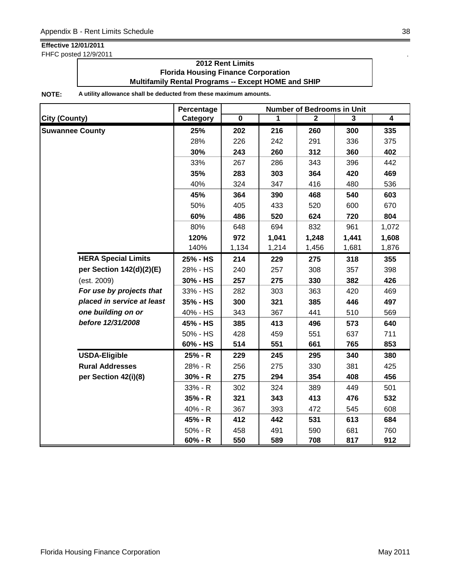FHFC posted 12/9/2011 .

### **2012 Rent Limits Florida Housing Finance Corporation Multifamily Rental Programs -- Except HOME and SHIP**

|                            | Percentage | <b>Number of Bedrooms in Unit</b> |       |              |       |                |
|----------------------------|------------|-----------------------------------|-------|--------------|-------|----------------|
| <b>City (County)</b>       | Category   | $\overline{\mathbf{0}}$           | 1     | $\mathbf{2}$ | 3     | $\overline{4}$ |
| <b>Suwannee County</b>     | 25%        | 202                               | 216   | 260          | 300   | 335            |
|                            | 28%        | 226                               | 242   | 291          | 336   | 375            |
|                            | 30%        | 243                               | 260   | 312          | 360   | 402            |
|                            | 33%        | 267                               | 286   | 343          | 396   | 442            |
|                            | 35%        | 283                               | 303   | 364          | 420   | 469            |
|                            | 40%        | 324                               | 347   | 416          | 480   | 536            |
|                            | 45%        | 364                               | 390   | 468          | 540   | 603            |
|                            | 50%        | 405                               | 433   | 520          | 600   | 670            |
|                            | 60%        | 486                               | 520   | 624          | 720   | 804            |
|                            | 80%        | 648                               | 694   | 832          | 961   | 1,072          |
|                            | 120%       | 972                               | 1,041 | 1,248        | 1,441 | 1,608          |
|                            | 140%       | 1,134                             | 1,214 | 1,456        | 1,681 | 1,876          |
| <b>HERA Special Limits</b> | 25% - HS   | 214                               | 229   | 275          | 318   | 355            |
| per Section 142(d)(2)(E)   | 28% - HS   | 240                               | 257   | 308          | 357   | 398            |
| (est. 2009)                | 30% - HS   | 257                               | 275   | 330          | 382   | 426            |
| For use by projects that   | 33% - HS   | 282                               | 303   | 363          | 420   | 469            |
| placed in service at least | 35% - HS   | 300                               | 321   | 385          | 446   | 497            |
| one building on or         | 40% - HS   | 343                               | 367   | 441          | 510   | 569            |
| before 12/31/2008          | 45% - HS   | 385                               | 413   | 496          | 573   | 640            |
|                            | 50% - HS   | 428                               | 459   | 551          | 637   | 711            |
|                            | 60% - HS   | 514                               | 551   | 661          | 765   | 853            |
| <b>USDA-Eligible</b>       | 25% - R    | 229                               | 245   | 295          | 340   | 380            |
| <b>Rural Addresses</b>     | 28% - R    | 256                               | 275   | 330          | 381   | 425            |
| per Section 42(i)(8)       | $30% - R$  | 275                               | 294   | 354          | 408   | 456            |
|                            | 33% - R    | 302                               | 324   | 389          | 449   | 501            |
|                            | 35% - R    | 321                               | 343   | 413          | 476   | 532            |
|                            | 40% - R    | 367                               | 393   | 472          | 545   | 608            |
|                            | 45% - R    | 412                               | 442   | 531          | 613   | 684            |
|                            | $50% - R$  | 458                               | 491   | 590          | 681   | 760            |
|                            | $60% - R$  | 550                               | 589   | 708          | 817   | 912            |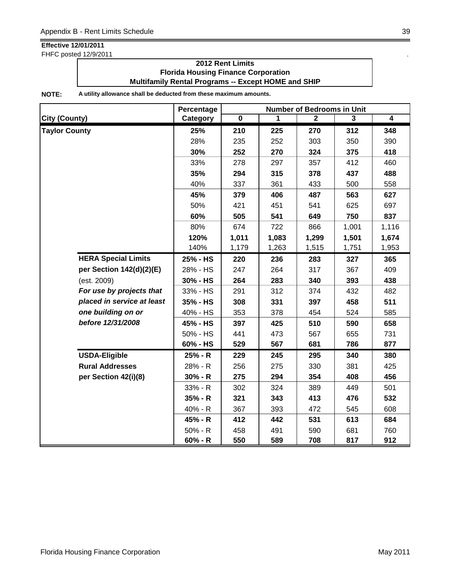FHFC posted 12/9/2011 .

### **2012 Rent Limits Florida Housing Finance Corporation Multifamily Rental Programs -- Except HOME and SHIP**

|                            | Percentage | <b>Number of Bedrooms in Unit</b> |       |              |                |                |
|----------------------------|------------|-----------------------------------|-------|--------------|----------------|----------------|
| <b>City (County)</b>       | Category   | $\overline{\mathbf{0}}$           | 1     | $\mathbf{2}$ | $\overline{3}$ | $\overline{4}$ |
| <b>Taylor County</b>       | 25%        | 210                               | 225   | 270          | 312            | 348            |
|                            | 28%        | 235                               | 252   | 303          | 350            | 390            |
|                            | 30%        | 252                               | 270   | 324          | 375            | 418            |
|                            | 33%        | 278                               | 297   | 357          | 412            | 460            |
|                            | 35%        | 294                               | 315   | 378          | 437            | 488            |
|                            | 40%        | 337                               | 361   | 433          | 500            | 558            |
|                            | 45%        | 379                               | 406   | 487          | 563            | 627            |
|                            | 50%        | 421                               | 451   | 541          | 625            | 697            |
|                            | 60%        | 505                               | 541   | 649          | 750            | 837            |
|                            | 80%        | 674                               | 722   | 866          | 1,001          | 1,116          |
|                            | 120%       | 1,011                             | 1,083 | 1,299        | 1,501          | 1,674          |
|                            | 140%       | 1,179                             | 1,263 | 1,515        | 1,751          | 1,953          |
| <b>HERA Special Limits</b> | 25% - HS   | 220                               | 236   | 283          | 327            | 365            |
| per Section 142(d)(2)(E)   | 28% - HS   | 247                               | 264   | 317          | 367            | 409            |
| (est. 2009)                | 30% - HS   | 264                               | 283   | 340          | 393            | 438            |
| For use by projects that   | 33% - HS   | 291                               | 312   | 374          | 432            | 482            |
| placed in service at least | 35% - HS   | 308                               | 331   | 397          | 458            | 511            |
| one building on or         | 40% - HS   | 353                               | 378   | 454          | 524            | 585            |
| before 12/31/2008          | 45% - HS   | 397                               | 425   | 510          | 590            | 658            |
|                            | 50% - HS   | 441                               | 473   | 567          | 655            | 731            |
|                            | 60% - HS   | 529                               | 567   | 681          | 786            | 877            |
| <b>USDA-Eligible</b>       | 25% - R    | 229                               | 245   | 295          | 340            | 380            |
| <b>Rural Addresses</b>     | 28% - R    | 256                               | 275   | 330          | 381            | 425            |
| per Section 42(i)(8)       | $30% - R$  | 275                               | 294   | 354          | 408            | 456            |
|                            | 33% - R    | 302                               | 324   | 389          | 449            | 501            |
|                            | 35% - R    | 321                               | 343   | 413          | 476            | 532            |
|                            | 40% - R    | 367                               | 393   | 472          | 545            | 608            |
|                            | 45% - R    | 412                               | 442   | 531          | 613            | 684            |
|                            | $50% - R$  | 458                               | 491   | 590          | 681            | 760            |
|                            | $60% - R$  | 550                               | 589   | 708          | 817            | 912            |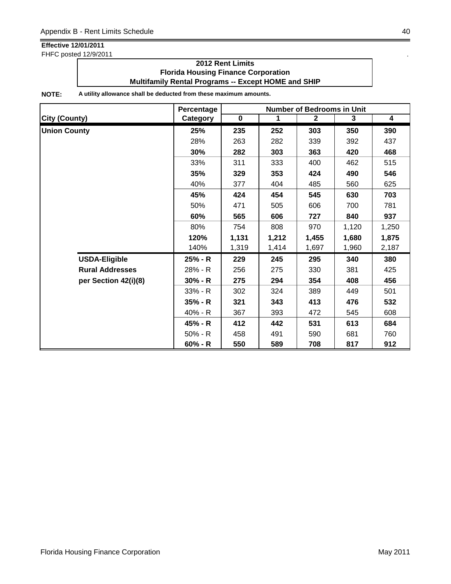FHFC posted 12/9/2011 .

### **2012 Rent Limits Florida Housing Finance Corporation Multifamily Rental Programs -- Except HOME and SHIP**

|                        | Percentage | <b>Number of Bedrooms in Unit</b> |              |              |       |                         |
|------------------------|------------|-----------------------------------|--------------|--------------|-------|-------------------------|
| <b>City (County)</b>   | Category   | $\mathbf 0$                       | $\mathbf{1}$ | $\mathbf{2}$ | 3     | $\overline{\mathbf{4}}$ |
| <b>Union County</b>    | 25%        | 235                               | 252          | 303          | 350   | 390                     |
|                        | 28%        | 263                               | 282          | 339          | 392   | 437                     |
|                        | 30%        | 282                               | 303          | 363          | 420   | 468                     |
|                        | 33%        | 311                               | 333          | 400          | 462   | 515                     |
|                        | 35%        | 329                               | 353          | 424          | 490   | 546                     |
|                        | 40%        | 377                               | 404          | 485          | 560   | 625                     |
|                        | 45%        | 424                               | 454          | 545          | 630   | 703                     |
|                        | 50%        | 471                               | 505          | 606          | 700   | 781                     |
|                        | 60%        | 565                               | 606          | 727          | 840   | 937                     |
|                        | 80%        | 754                               | 808          | 970          | 1,120 | 1,250                   |
|                        | 120%       | 1,131                             | 1,212        | 1,455        | 1,680 | 1,875                   |
|                        | 140%       | 1,319                             | 1,414        | 1,697        | 1,960 | 2,187                   |
| <b>USDA-Eligible</b>   | 25% - R    | 229                               | 245          | 295          | 340   | 380                     |
| <b>Rural Addresses</b> | 28% - R    | 256                               | 275          | 330          | 381   | 425                     |
| per Section 42(i)(8)   | $30% - R$  | 275                               | 294          | 354          | 408   | 456                     |
|                        | $33% - R$  | 302                               | 324          | 389          | 449   | 501                     |
|                        | $35% - R$  | 321                               | 343          | 413          | 476   | 532                     |
|                        | 40% - R    | 367                               | 393          | 472          | 545   | 608                     |
|                        | 45% - R    | 412                               | 442          | 531          | 613   | 684                     |
|                        | $50% - R$  | 458                               | 491          | 590          | 681   | 760                     |
|                        | $60% - R$  | 550                               | 589          | 708          | 817   | 912                     |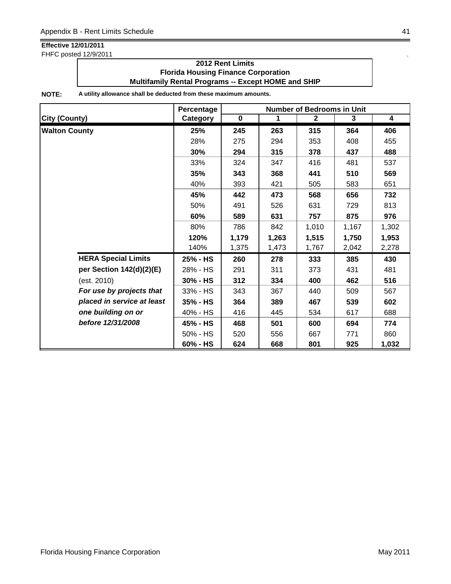FHFC posted 12/9/2011 .

### **2012 Rent Limits Florida Housing Finance Corporation Multifamily Rental Programs -- Except HOME and SHIP**

|                            | Percentage | <b>Number of Bedrooms in Unit</b> |       |                |       |                         |
|----------------------------|------------|-----------------------------------|-------|----------------|-------|-------------------------|
| <b>City (County)</b>       | Category   | $\mathbf 0$                       | 1     | $\overline{2}$ | 3     | $\overline{\mathbf{4}}$ |
| <b>Walton County</b>       | 25%        | 245                               | 263   | 315            | 364   | 406                     |
|                            | 28%        | 275                               | 294   | 353            | 408   | 455                     |
|                            | 30%        | 294                               | 315   | 378            | 437   | 488                     |
|                            | 33%        | 324                               | 347   | 416            | 481   | 537                     |
|                            | 35%        | 343                               | 368   | 441            | 510   | 569                     |
|                            | 40%        | 393                               | 421   | 505            | 583   | 651                     |
|                            | 45%        | 442                               | 473   | 568            | 656   | 732                     |
|                            | 50%        | 491                               | 526   | 631            | 729   | 813                     |
|                            | 60%        | 589                               | 631   | 757            | 875   | 976                     |
|                            | 80%        | 786                               | 842   | 1,010          | 1,167 | 1,302                   |
|                            | 120%       | 1,179                             | 1,263 | 1,515          | 1,750 | 1,953                   |
|                            | 140%       | 1,375                             | 1,473 | 1,767          | 2,042 | 2,278                   |
| <b>HERA Special Limits</b> | 25% - HS   | 260                               | 278   | 333            | 385   | 430                     |
| per Section 142(d)(2)(E)   | 28% - HS   | 291                               | 311   | 373            | 431   | 481                     |
| (est. 2010)                | 30% - HS   | 312                               | 334   | 400            | 462   | 516                     |
| For use by projects that   | 33% - HS   | 343                               | 367   | 440            | 509   | 567                     |
| placed in service at least | 35% - HS   | 364                               | 389   | 467            | 539   | 602                     |
| one building on or         | 40% - HS   | 416                               | 445   | 534            | 617   | 688                     |
| before 12/31/2008          | 45% - HS   | 468                               | 501   | 600            | 694   | 774                     |
|                            | 50% - HS   | 520                               | 556   | 667            | 771   | 860                     |
|                            | 60% - HS   | 624                               | 668   | 801            | 925   | 1,032                   |